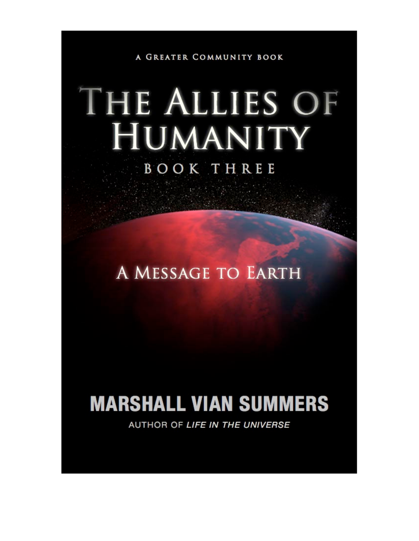A GREATER COMMUNITY BOOK

# THE ALLIES OF HUMANITY **BOOK THREE**

A MESSAGE TO EARTH

## **MARSHALL VIAN SUMMERS**

AUTHOR OF LIFE IN THE UNIVERSE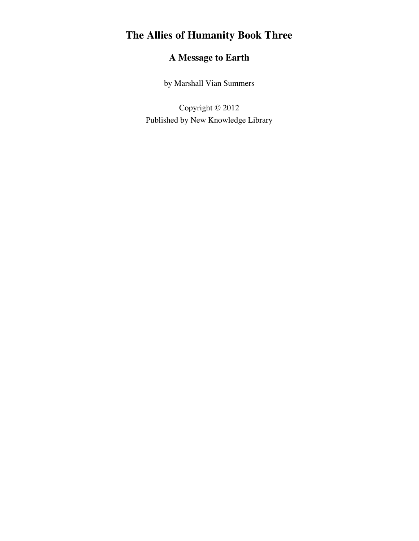## **The Allies of Humanity Book Three**

## **A Message to Earth**

by Marshall Vian Summers

Copyright © 2012 Published by New Knowledge Library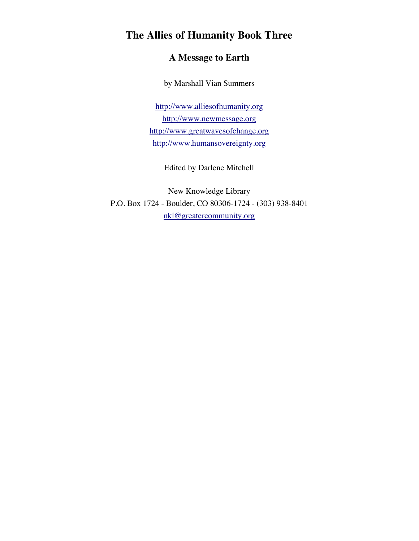## **The Allies of Humanity Book Three**

## **A Message to Earth**

by Marshall Vian Summers

http://www.alliesofhumanity.org http://www.newmessage.org http://www.greatwavesofchange.org http://www.humansovereignty.org

Edited by Darlene Mitchell

New Knowledge Library P.O. Box 1724 - Boulder, CO 80306-1724 - (303) 938-8401 nkl@greatercommunity.org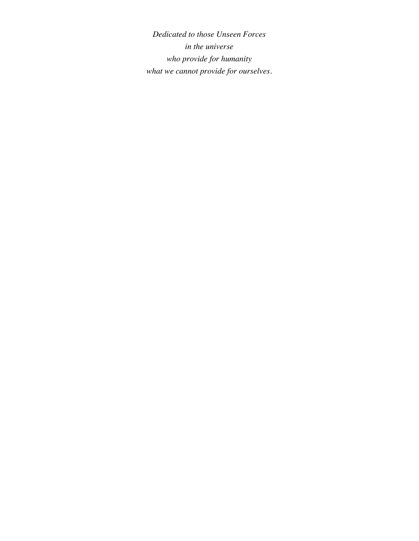<span id="page-3-0"></span>*Dedicated to those Unseen Forces in the universe who provide for humanity what we cannot provide for ourselves.*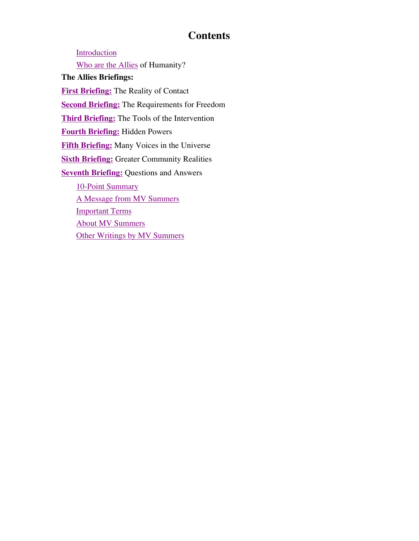## **Contents**

<span id="page-4-0"></span>[Introduction](#page-5-0) [Who are the Allies](#page-6-0) of Humanity? **The Allies Briefings: First Briefing:** [The Reality of Contact](#page-14-0) **Second Briefing:** [The Requirements for Freedom](#page-18-0) **Third Briefing:** [The Tools of the Intervention](#page-26-0) **[Fourth Briefing:](#page-32-0)** Hidden Powers **Fifth Briefing:** [Many Voices in the Universe](#page-36-0) **Sixth Briefing:** [Greater Community Realities](#page-41-0) **Seventh Briefing:** [Questions and Answers](#page-46-0) [10-Point Summary](#page-57-0) [A Message from MV Summers](#page-59-0) [Important Terms](#page-61-0) [About MV Summers](#page-62-0) [Other Writings by MV Summers](#page-63-0)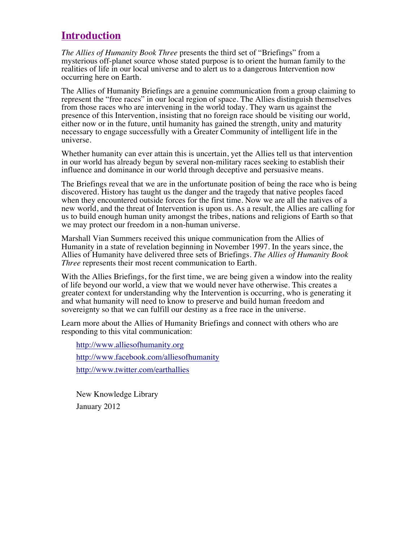## <span id="page-5-0"></span>**[Introduction](#page-4-0)**

*The Allies of Humanity Book Three* presents the third set of "Briefings" from a mysterious off-planet source whose stated purpose is to orient the human family to the realities of life in our local universe and to alert us to a dangerous Intervention now occurring here on Earth.

The Allies of Humanity Briefings are a genuine communication from a group claiming to represent the "free races" in our local region of space. The Allies distinguish themselves from those races who are intervening in the world today. They warn us against the presence of this Intervention, insisting that no foreign race should be visiting our world, either now or in the future, until humanity has gained the strength, unity and maturity necessary to engage successfully with a Greater Community of intelligent life in the universe.

Whether humanity can ever attain this is uncertain, yet the Allies tell us that intervention in our world has already begun by several non-military races seeking to establish their influence and dominance in our world through deceptive and persuasive means.

The Briefings reveal that we are in the unfortunate position of being the race who is being discovered. History has taught us the danger and the tragedy that native peoples faced when they encountered outside forces for the first time. Now we are all the natives of a new world, and the threat of Intervention is upon us. As a result, the Allies are calling for us to build enough human unity amongst the tribes, nations and religions of Earth so that we may protect our freedom in a non-human universe.

Marshall Vian Summers received this unique communication from the Allies of Humanity in a state of revelation beginning in November 1997. In the years since, the Allies of Humanity have delivered three sets of Briefings. *The Allies of Humanity Book Three* represents their most recent communication to Earth.

With the Allies Briefings, for the first time, we are being given a window into the reality of life beyond our world, a view that we would never have otherwise. This creates a greater context for understanding why the Intervention is occurring, who is generating it and what humanity will need to know to preserve and build human freedom and sovereignty so that we can fulfill our destiny as a free race in the universe.

Learn more about the Allies of Humanity Briefings and connect with others who are responding to this vital communication:

http://www.alliesofhumanity.org http://www.facebook.com/alliesofhumanity http://www.twitter.com/earthallies

New Knowledge Library January 2012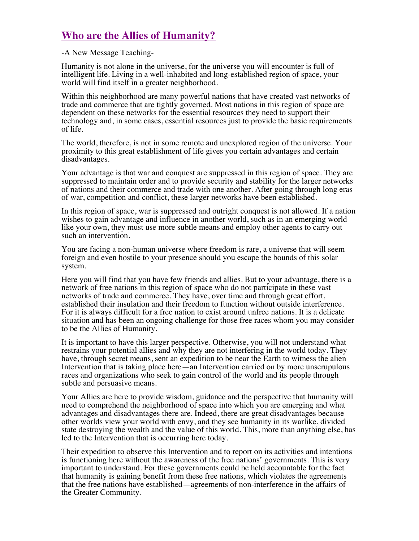## <span id="page-6-0"></span>**[Who are the Allies of Humanity?](#page-4-0)**

-A New Message Teaching-

Humanity is not alone in the universe, for the universe you will encounter is full of intelligent life. Living in a well-inhabited and long-established region of space, your world will find itself in a greater neighborhood.

Within this neighborhood are many powerful nations that have created vast networks of trade and commerce that are tightly governed. Most nations in this region of space are dependent on these networks for the essential resources they need to support their technology and, in some cases, essential resources just to provide the basic requirements of life.

The world, therefore, is not in some remote and unexplored region of the universe. Your proximity to this great establishment of life gives you certain advantages and certain disadvantages.

Your advantage is that war and conquest are suppressed in this region of space. They are suppressed to maintain order and to provide security and stability for the larger networks of nations and their commerce and trade with one another. After going through long eras of war, competition and conflict, these larger networks have been established.

In this region of space, war is suppressed and outright conquest is not allowed. If a nation wishes to gain advantage and influence in another world, such as in an emerging world like your own, they must use more subtle means and employ other agents to carry out such an intervention.

You are facing a non-human universe where freedom is rare, a universe that will seem foreign and even hostile to your presence should you escape the bounds of this solar system.

Here you will find that you have few friends and allies. But to your advantage, there is a network of free nations in this region of space who do not participate in these vast networks of trade and commerce. They have, over time and through great effort, established their insulation and their freedom to function without outside interference. For it is always difficult for a free nation to exist around unfree nations. It is a delicate situation and has been an ongoing challenge for those free races whom you may consider to be the Allies of Humanity.

It is important to have this larger perspective. Otherwise, you will not understand what restrains your potential allies and why they are not interfering in the world today. They have, through secret means, sent an expedition to be near the Earth to witness the alien Intervention that is taking place here—an Intervention carried on by more unscrupulous races and organizations who seek to gain control of the world and its people through subtle and persuasive means.

Your Allies are here to provide wisdom, guidance and the perspective that humanity will need to comprehend the neighborhood of space into which you are emerging and what advantages and disadvantages there are. Indeed, there are great disadvantages because other worlds view your world with envy, and they see humanity in its warlike, divided state destroying the wealth and the value of this world. This, more than anything else, has led to the Intervention that is occurring here today.

Their expedition to observe this Intervention and to report on its activities and intentions is functioning here without the awareness of the free nations' governments. This is very important to understand. For these governments could be held accountable for the fact that humanity is gaining benefit from these free nations, which violates the agreements that the free nations have established—agreements of non-interference in the affairs of the Greater Community.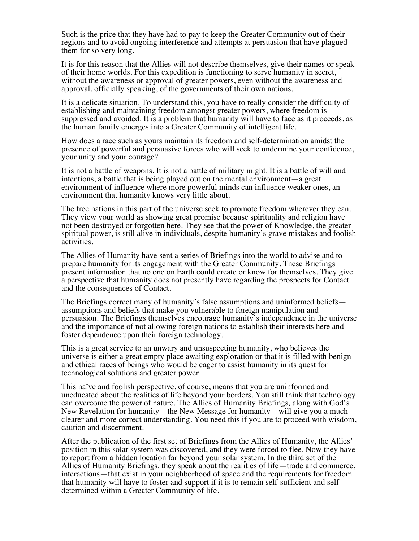Such is the price that they have had to pay to keep the Greater Community out of their regions and to avoid ongoing interference and attempts at persuasion that have plagued them for so very long.

It is for this reason that the Allies will not describe themselves, give their names or speak of their home worlds. For this expedition is functioning to serve humanity in secret, without the awareness or approval of greater powers, even without the awareness and approval, officially speaking, of the governments of their own nations.

It is a delicate situation. To understand this, you have to really consider the difficulty of establishing and maintaining freedom amongst greater powers, where freedom is suppressed and avoided. It is a problem that humanity will have to face as it proceeds, as the human family emerges into a Greater Community of intelligent life.

How does a race such as yours maintain its freedom and self-determination amidst the presence of powerful and persuasive forces who will seek to undermine your confidence, your unity and your courage?

It is not a battle of weapons. It is not a battle of military might. It is a battle of will and intentions, a battle that is being played out on the mental environment—a great environment of influence where more powerful minds can influence weaker ones, an environment that humanity knows very little about.

The free nations in this part of the universe seek to promote freedom wherever they can. They view your world as showing great promise because spirituality and religion have not been destroyed or forgotten here. They see that the power of Knowledge, the greater spiritual power, is still alive in individuals, despite humanity's grave mistakes and foolish activities.

The Allies of Humanity have sent a series of Briefings into the world to advise and to prepare humanity for its engagement with the Greater Community. These Briefings present information that no one on Earth could create or know for themselves. They give a perspective that humanity does not presently have regarding the prospects for Contact and the consequences of Contact.

The Briefings correct many of humanity's false assumptions and uninformed beliefs assumptions and beliefs that make you vulnerable to foreign manipulation and persuasion. The Briefings themselves encourage humanity's independence in the universe and the importance of not allowing foreign nations to establish their interests here and foster dependence upon their foreign technology.

This is a great service to an unwary and unsuspecting humanity, who believes the universe is either a great empty place awaiting exploration or that it is filled with benign and ethical races of beings who would be eager to assist humanity in its quest for technological solutions and greater power.

This naïve and foolish perspective, of course, means that you are uninformed and uneducated about the realities of life beyond your borders. You still think that technology can overcome the power of nature. The Allies of Humanity Briefings*,* along with God's New Revelation for humanity—the New Message for humanity—will give you a much clearer and more correct understanding. You need this if you are to proceed with wisdom, caution and discernment.

After the publication of the first set of Briefings from the Allies of Humanity, the Allies' position in this solar system was discovered, and they were forced to flee. Now they have to report from a hidden location far beyond your solar system. In the third set of the Allies of Humanity Briefings*,* they speak about the realities of life—trade and commerce, interactions—that exist in your neighborhood of space and the requirements for freedom that humanity will have to foster and support if it is to remain self-sufficient and selfdetermined within a Greater Community of life.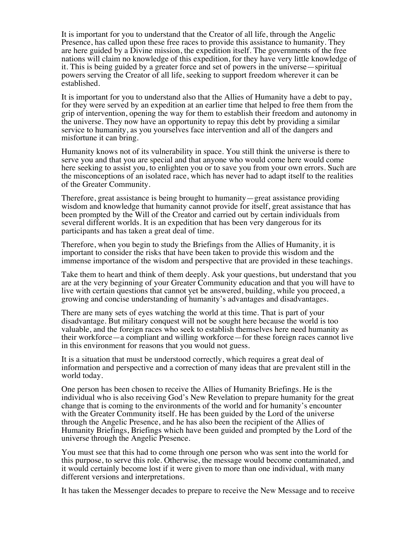It is important for you to understand that the Creator of all life, through the Angelic Presence, has called upon these free races to provide this assistance to humanity. They are here guided by a Divine mission, the expedition itself. The governments of the free nations will claim no knowledge of this expedition, for they have very little knowledge of it. This is being guided by a greater force and set of powers in the universe—spiritual powers serving the Creator of all life, seeking to support freedom wherever it can be established.

It is important for you to understand also that the Allies of Humanity have a debt to pay, for they were served by an expedition at an earlier time that helped to free them from the grip of intervention, opening the way for them to establish their freedom and autonomy in the universe. They now have an opportunity to repay this debt by providing a similar service to humanity, as you yourselves face intervention and all of the dangers and misfortune it can bring.

Humanity knows not of its vulnerability in space. You still think the universe is there to serve you and that you are special and that anyone who would come here would come here seeking to assist you, to enlighten you or to save you from your own errors. Such are the misconceptions of an isolated race, which has never had to adapt itself to the realities of the Greater Community.

Therefore, great assistance is being brought to humanity—great assistance providing wisdom and knowledge that humanity cannot provide for itself, great assistance that has been prompted by the Will of the Creator and carried out by certain individuals from several different worlds. It is an expedition that has been very dangerous for its participants and has taken a great deal of time.

Therefore, when you begin to study the Briefings from the Allies of Humanity*,* it is important to consider the risks that have been taken to provide this wisdom and the immense importance of the wisdom and perspective that are provided in these teachings.

Take them to heart and think of them deeply. Ask your questions, but understand that you are at the very beginning of your Greater Community education and that you will have to live with certain questions that cannot yet be answered, building, while you proceed, a growing and concise understanding of humanity's advantages and disadvantages.

There are many sets of eyes watching the world at this time. That is part of your disadvantage. But military conquest will not be sought here because the world is too valuable, and the foreign races who seek to establish themselves here need humanity as their workforce—a compliant and willing workforce—for these foreign races cannot live in this environment for reasons that you would not guess.

It is a situation that must be understood correctly, which requires a great deal of information and perspective and a correction of many ideas that are prevalent still in the world today.

One person has been chosen to receive the Allies of Humanity Briefings*.* He is the individual who is also receiving God's New Revelation to prepare humanity for the great change that is coming to the environments of the world and for humanity's encounter with the Greater Community itself. He has been guided by the Lord of the universe through the Angelic Presence, and he has also been the recipient of the Allies of Humanity Briefings, Briefings which have been guided and prompted by the Lord of the universe through the Angelic Presence.

You must see that this had to come through one person who was sent into the world for this purpose, to serve this role. Otherwise, the message would become contaminated, and it would certainly become lost if it were given to more than one individual, with many different versions and interpretations.

It has taken the Messenger decades to prepare to receive the New Message and to receive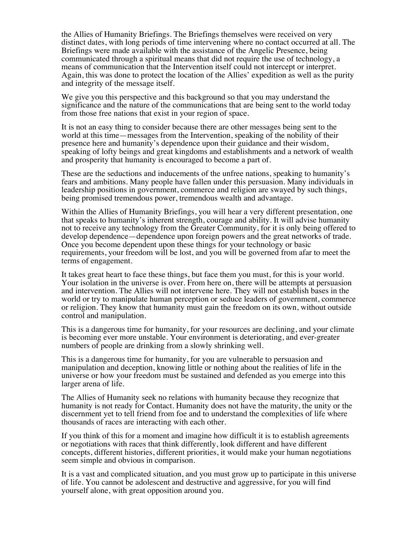the Allies of Humanity Briefings*.* The Briefings themselves were received on very distinct dates, with long periods of time intervening where no contact occurred at all. The Briefings were made available with the assistance of the Angelic Presence, being communicated through a spiritual means that did not require the use of technology, a means of communication that the Intervention itself could not intercept or interpret. Again, this was done to protect the location of the Allies' expedition as well as the purity and integrity of the message itself.

We give you this perspective and this background so that you may understand the significance and the nature of the communications that are being sent to the world today from those free nations that exist in your region of space.

It is not an easy thing to consider because there are other messages being sent to the world at this time—messages from the Intervention, speaking of the nobility of their presence here and humanity's dependence upon their guidance and their wisdom, speaking of lofty beings and great kingdoms and establishments and a network of wealth and prosperity that humanity is encouraged to become a part of.

These are the seductions and inducements of the unfree nations, speaking to humanity's fears and ambitions. Many people have fallen under this persuasion. Many individuals in leadership positions in government, commerce and religion are swayed by such things, being promised tremendous power, tremendous wealth and advantage.

Within the Allies of Humanity Briefings, you will hear a very different presentation, one that speaks to humanity's inherent strength, courage and ability. It will advise humanity not to receive any technology from the Greater Community, for it is only being offered to develop dependence—dependence upon foreign powers and the great networks of trade. Once you become dependent upon these things for your technology or basic requirements, your freedom will be lost, and you will be governed from afar to meet the terms of engagement.

It takes great heart to face these things, but face them you must, for this is your world. Your isolation in the universe is over. From here on, there will be attempts at persuasion and intervention. The Allies will not intervene here. They will not establish bases in the world or try to manipulate human perception or seduce leaders of government, commerce or religion. They know that humanity must gain the freedom on its own, without outside control and manipulation.

This is a dangerous time for humanity, for your resources are declining, and your climate is becoming ever more unstable. Your environment is deteriorating, and ever-greater numbers of people are drinking from a slowly shrinking well.

This is a dangerous time for humanity, for you are vulnerable to persuasion and manipulation and deception, knowing little or nothing about the realities of life in the universe or how your freedom must be sustained and defended as you emerge into this larger arena of life.

The Allies of Humanity seek no relations with humanity because they recognize that humanity is not ready for Contact. Humanity does not have the maturity, the unity or the discernment yet to tell friend from foe and to understand the complexities of life where thousands of races are interacting with each other.

If you think of this for a moment and imagine how difficult it is to establish agreements or negotiations with races that think differently, look different and have different concepts, different histories, different priorities, it would make your human negotiations seem simple and obvious in comparison.

It is a vast and complicated situation, and you must grow up to participate in this universe of life. You cannot be adolescent and destructive and aggressive, for you will find yourself alone, with great opposition around you.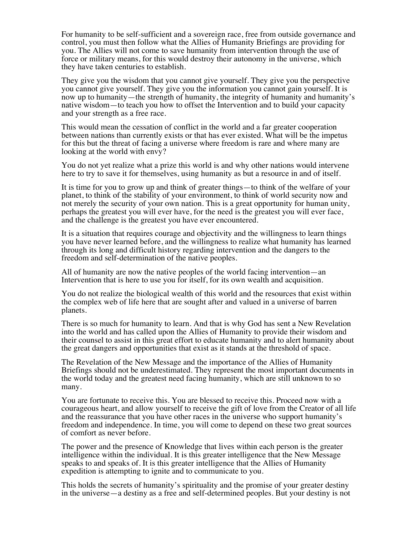For humanity to be self-sufficient and a sovereign race, free from outside governance and control, you must then follow what the Allies of Humanity Briefings are providing for you. The Allies will not come to save humanity from intervention through the use of force or military means, for this would destroy their autonomy in the universe, which they have taken centuries to establish.

They give you the wisdom that you cannot give yourself. They give you the perspective you cannot give yourself. They give you the information you cannot gain yourself. It is now up to humanity—the strength of humanity, the integrity of humanity and humanity's native wisdom—to teach you how to offset the Intervention and to build your capacity and your strength as a free race.

This would mean the cessation of conflict in the world and a far greater cooperation between nations than currently exists or that has ever existed. What will be the impetus for this but the threat of facing a universe where freedom is rare and where many are looking at the world with envy?

You do not yet realize what a prize this world is and why other nations would intervene here to try to save it for themselves, using humanity as but a resource in and of itself.

It is time for you to grow up and think of greater things—to think of the welfare of your planet, to think of the stability of your environment, to think of world security now and not merely the security of your own nation. This is a great opportunity for human unity, perhaps the greatest you will ever have, for the need is the greatest you will ever face, and the challenge is the greatest you have ever encountered.

It is a situation that requires courage and objectivity and the willingness to learn things you have never learned before, and the willingness to realize what humanity has learned through its long and difficult history regarding intervention and the dangers to the freedom and self-determination of the native peoples.

All of humanity are now the native peoples of the world facing intervention—an Intervention that is here to use you for itself, for its own wealth and acquisition.

You do not realize the biological wealth of this world and the resources that exist within the complex web of life here that are sought after and valued in a universe of barren planets.

There is so much for humanity to learn. And that is why God has sent a New Revelation into the world and has called upon the Allies of Humanity to provide their wisdom and their counsel to assist in this great effort to educate humanity and to alert humanity about the great dangers and opportunities that exist as it stands at the threshold of space.

The Revelation of the New Message and the importance of the Allies of Humanity Briefings should not be underestimated. They represent the most important documents in the world today and the greatest need facing humanity, which are still unknown to so many.

You are fortunate to receive this. You are blessed to receive this. Proceed now with a courageous heart, and allow yourself to receive the gift of love from the Creator of all life and the reassurance that you have other races in the universe who support humanity's freedom and independence. In time, you will come to depend on these two great sources of comfort as never before.

The power and the presence of Knowledge that lives within each person is the greater intelligence within the individual. It is this greater intelligence that the New Message speaks to and speaks of. It is this greater intelligence that the Allies of Humanity expedition is attempting to ignite and to communicate to you.

This holds the secrets of humanity's spirituality and the promise of your greater destiny in the universe—a destiny as a free and self-determined peoples. But your destiny is not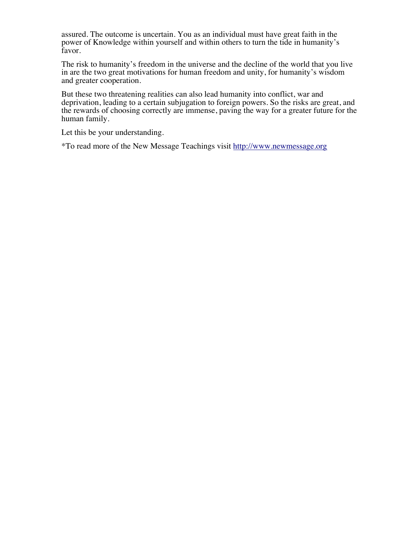assured. The outcome is uncertain. You as an individual must have great faith in the power of Knowledge within yourself and within others to turn the tide in humanity's favor.

The risk to humanity's freedom in the universe and the decline of the world that you live in are the two great motivations for human freedom and unity, for humanity's wisdom and greater cooperation.

But these two threatening realities can also lead humanity into conflict, war and deprivation, leading to a certain subjugation to foreign powers. So the risks are great, and the rewards of choosing correctly are immense, paving the way for a greater future for the human family.

Let this be your understanding.

\*To read more of the New Message Teachings visit http://www.newmessage.org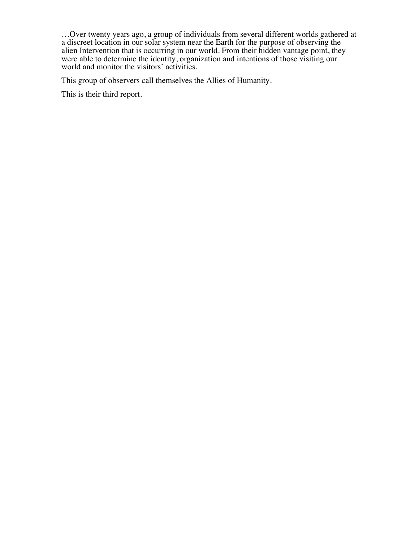…Over twenty years ago, a group of individuals from several different worlds gathered at a discreet location in our solar system near the Earth for the purpose of observing the alien Intervention that is occurring in our world. From their hidden vantage point, they were able to determine the identity, organization and intentions of those visiting our world and monitor the visitors' activities.

This group of observers call themselves the Allies of Humanity.

This is their third report.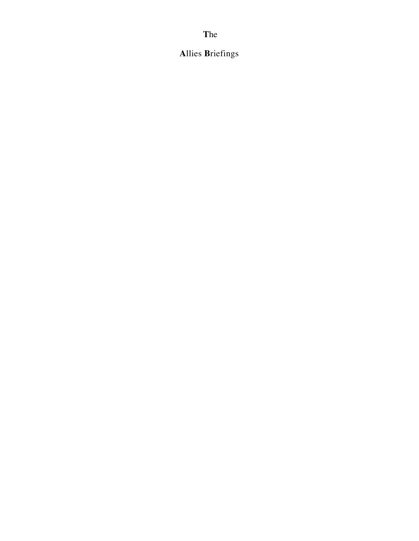**T**he

## **A**llies **B**riefings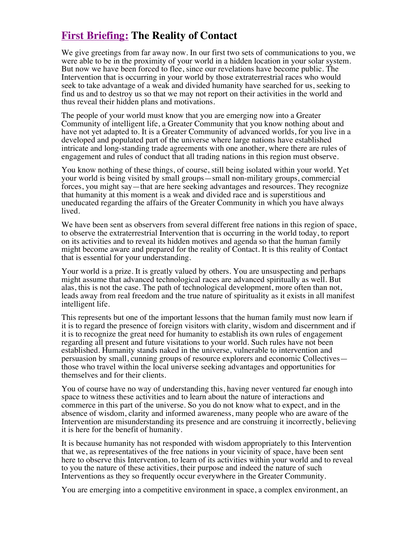## <span id="page-14-0"></span>**First Briefing: [The Reality of Contact](#page-4-0)**

We give greetings from far away now. In our first two sets of communications to you, we were able to be in the proximity of your world in a hidden location in your solar system. But now we have been forced to flee, since our revelations have become public. The Intervention that is occurring in your world by those extraterrestrial races who would seek to take advantage of a weak and divided humanity have searched for us, seeking to find us and to destroy us so that we may not report on their activities in the world and thus reveal their hidden plans and motivations.

The people of your world must know that you are emerging now into a Greater Community of intelligent life, a Greater Community that you know nothing about and have not yet adapted to. It is a Greater Community of advanced worlds, for you live in a developed and populated part of the universe where large nations have established intricate and long-standing trade agreements with one another, where there are rules of engagement and rules of conduct that all trading nations in this region must observe.

You know nothing of these things, of course, still being isolated within your world. Yet your world is being visited by small groups—small non-military groups, commercial forces, you might say—that are here seeking advantages and resources. They recognize that humanity at this moment is a weak and divided race and is superstitious and uneducated regarding the affairs of the Greater Community in which you have always lived.

We have been sent as observers from several different free nations in this region of space, to observe the extraterrestrial Intervention that is occurring in the world today, to report on its activities and to reveal its hidden motives and agenda so that the human family might become aware and prepared for the reality of Contact. It is this reality of Contact that is essential for your understanding.

Your world is a prize. It is greatly valued by others. You are unsuspecting and perhaps might assume that advanced technological races are advanced spiritually as well. But alas, this is not the case. The path of technological development, more often than not, leads away from real freedom and the true nature of spirituality as it exists in all manifest intelligent life.

This represents but one of the important lessons that the human family must now learn if it is to regard the presence of foreign visitors with clarity, wisdom and discernment and if it is to recognize the great need for humanity to establish its own rules of engagement regarding all present and future visitations to your world. Such rules have not been established. Humanity stands naked in the universe, vulnerable to intervention and persuasion by small, cunning groups of resource explorers and economic Collectives those who travel within the local universe seeking advantages and opportunities for themselves and for their clients.

You of course have no way of understanding this, having never ventured far enough into space to witness these activities and to learn about the nature of interactions and commerce in this part of the universe. So you do not know what to expect, and in the absence of wisdom, clarity and informed awareness, many people who are aware of the Intervention are misunderstanding its presence and are construing it incorrectly, believing it is here for the benefit of humanity.

It is because humanity has not responded with wisdom appropriately to this Intervention that we, as representatives of the free nations in your vicinity of space, have been sent here to observe this Intervention, to learn of its activities within your world and to reveal to you the nature of these activities, their purpose and indeed the nature of such Interventions as they so frequently occur everywhere in the Greater Community.

You are emerging into a competitive environment in space, a complex environment, an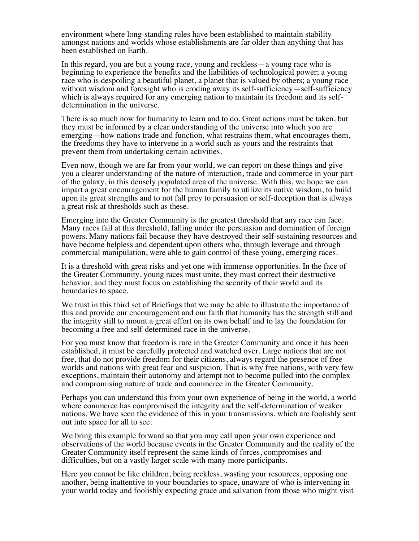environment where long-standing rules have been established to maintain stability amongst nations and worlds whose establishments are far older than anything that has been established on Earth.

In this regard, you are but a young race, young and reckless—a young race who is beginning to experience the benefits and the liabilities of technological power; a young race who is despoiling a beautiful planet, a planet that is valued by others; a young race without wisdom and foresight who is eroding away its self-sufficiency—self-sufficiency which is always required for any emerging nation to maintain its freedom and its selfdetermination in the universe.

There is so much now for humanity to learn and to do. Great actions must be taken, but they must be informed by a clear understanding of the universe into which you are emerging—how nations trade and function, what restrains them, what encourages them, the freedoms they have to intervene in a world such as yours and the restraints that prevent them from undertaking certain activities.

Even now, though we are far from your world, we can report on these things and give you a clearer understanding of the nature of interaction, trade and commerce in your part of the galaxy, in this densely populated area of the universe. With this, we hope we can impart a great encouragement for the human family to utilize its native wisdom, to build upon its great strengths and to not fall prey to persuasion or self-deception that is always a great risk at thresholds such as these.

Emerging into the Greater Community is the greatest threshold that any race can face. Many races fail at this threshold, falling under the persuasion and domination of foreign powers. Many nations fail because they have destroyed their self-sustaining resources and have become helpless and dependent upon others who, through leverage and through commercial manipulation, were able to gain control of these young, emerging races.

It is a threshold with great risks and yet one with immense opportunities. In the face of the Greater Community, young races must unite, they must correct their destructive behavior, and they must focus on establishing the security of their world and its boundaries to space.

We trust in this third set of Briefings that we may be able to illustrate the importance of this and provide our encouragement and our faith that humanity has the strength still and the integrity still to mount a great effort on its own behalf and to lay the foundation for becoming a free and self-determined race in the universe.

For you must know that freedom is rare in the Greater Community and once it has been established, it must be carefully protected and watched over. Large nations that are not free, that do not provide freedom for their citizens, always regard the presence of free worlds and nations with great fear and suspicion. That is why free nations, with very few exceptions, maintain their autonomy and attempt not to become pulled into the complex and compromising nature of trade and commerce in the Greater Community.

Perhaps you can understand this from your own experience of being in the world, a world where commerce has compromised the integrity and the self-determination of weaker nations. We have seen the evidence of this in your transmissions, which are foolishly sent out into space for all to see.

We bring this example forward so that you may call upon your own experience and observations of the world because events in the Greater Community and the reality of the Greater Community itself represent the same kinds of forces, compromises and difficulties, but on a vastly larger scale with many more participants.

Here you cannot be like children, being reckless, wasting your resources, opposing one another, being inattentive to your boundaries to space, unaware of who is intervening in your world today and foolishly expecting grace and salvation from those who might visit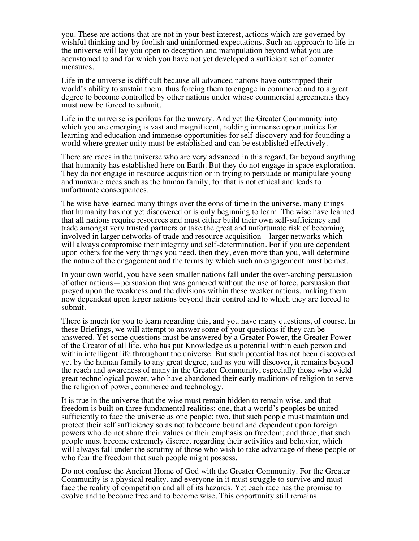you. These are actions that are not in your best interest, actions which are governed by wishful thinking and by foolish and uninformed expectations. Such an approach to life in the universe will lay you open to deception and manipulation beyond what you are accustomed to and for which you have not yet developed a sufficient set of counter measures.

Life in the universe is difficult because all advanced nations have outstripped their world's ability to sustain them, thus forcing them to engage in commerce and to a great degree to become controlled by other nations under whose commercial agreements they must now be forced to submit.

Life in the universe is perilous for the unwary. And yet the Greater Community into which you are emerging is vast and magnificent, holding immense opportunities for learning and education and immense opportunities for self-discovery and for founding a world where greater unity must be established and can be established effectively.

There are races in the universe who are very advanced in this regard, far beyond anything that humanity has established here on Earth. But they do not engage in space exploration. They do not engage in resource acquisition or in trying to persuade or manipulate young and unaware races such as the human family, for that is not ethical and leads to unfortunate consequences.

The wise have learned many things over the eons of time in the universe, many things that humanity has not yet discovered or is only beginning to learn. The wise have learned that all nations require resources and must either build their own self-sufficiency and trade amongst very trusted partners or take the great and unfortunate risk of becoming involved in larger networks of trade and resource acquisition—larger networks which will always compromise their integrity and self-determination. For if you are dependent upon others for the very things you need, then they, even more than you, will determine the nature of the engagement and the terms by which such an engagement must be met.

In your own world, you have seen smaller nations fall under the over-arching persuasion of other nations—persuasion that was garnered without the use of force, persuasion that preyed upon the weakness and the divisions within these weaker nations, making them now dependent upon larger nations beyond their control and to which they are forced to submit.

There is much for you to learn regarding this, and you have many questions, of course. In these Briefings, we will attempt to answer some of your questions if they can be answered. Yet some questions must be answered by a Greater Power, the Greater Power of the Creator of all life, who has put Knowledge as a potential within each person and within intelligent life throughout the universe. But such potential has not been discovered yet by the human family to any great degree, and as you will discover, it remains beyond the reach and awareness of many in the Greater Community, especially those who wield great technological power, who have abandoned their early traditions of religion to serve the religion of power, commerce and technology.

It is true in the universe that the wise must remain hidden to remain wise, and that freedom is built on three fundamental realities: one, that a world's peoples be united sufficiently to face the universe as one people; two, that such people must maintain and protect their self sufficiency so as not to become bound and dependent upon foreign powers who do not share their values or their emphasis on freedom; and three, that such people must become extremely discreet regarding their activities and behavior, which will always fall under the scrutiny of those who wish to take advantage of these people or who fear the freedom that such people might possess.

Do not confuse the Ancient Home of God with the Greater Community. For the Greater Community is a physical reality, and everyone in it must struggle to survive and must face the reality of competition and all of its hazards. Yet each race has the promise to evolve and to become free and to become wise. This opportunity still remains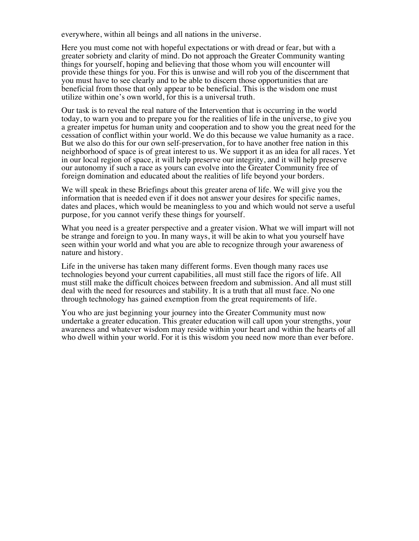everywhere, within all beings and all nations in the universe.

Here you must come not with hopeful expectations or with dread or fear, but with a greater sobriety and clarity of mind. Do not approach the Greater Community wanting things for yourself, hoping and believing that those whom you will encounter will provide these things for you. For this is unwise and will rob you of the discernment that you must have to see clearly and to be able to discern those opportunities that are beneficial from those that only appear to be beneficial. This is the wisdom one must utilize within one's own world, for this is a universal truth.

Our task is to reveal the real nature of the Intervention that is occurring in the world today, to warn you and to prepare you for the realities of life in the universe, to give you a greater impetus for human unity and cooperation and to show you the great need for the cessation of conflict within your world. We do this because we value humanity as a race. But we also do this for our own self-preservation, for to have another free nation in this neighborhood of space is of great interest to us. We support it as an idea for all races. Yet in our local region of space, it will help preserve our integrity, and it will help preserve our autonomy if such a race as yours can evolve into the Greater Community free of foreign domination and educated about the realities of life beyond your borders.

We will speak in these Briefings about this greater arena of life. We will give you the information that is needed even if it does not answer your desires for specific names, dates and places, which would be meaningless to you and which would not serve a useful purpose, for you cannot verify these things for yourself.

What you need is a greater perspective and a greater vision. What we will impart will not be strange and foreign to you. In many ways, it will be akin to what you yourself have seen within your world and what you are able to recognize through your awareness of nature and history.

Life in the universe has taken many different forms. Even though many races use technologies beyond your current capabilities, all must still face the rigors of life. All must still make the difficult choices between freedom and submission. And all must still deal with the need for resources and stability. It is a truth that all must face. No one through technology has gained exemption from the great requirements of life.

You who are just beginning your journey into the Greater Community must now undertake a greater education. This greater education will call upon your strengths, your awareness and whatever wisdom may reside within your heart and within the hearts of all who dwell within your world. For it is this wisdom you need now more than ever before.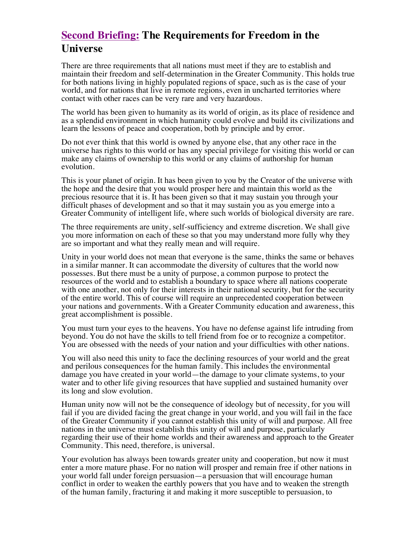## <span id="page-18-0"></span>**Second Briefing: [The Requirements for Freedom in the](#page-3-0)  Universe**

There are three requirements that all nations must meet if they are to establish and maintain their freedom and self-determination in the Greater Community. This holds true for both nations living in highly populated regions of space, such as is the case of your world, and for nations that live in remote regions, even in uncharted territories where contact with other races can be very rare and very hazardous.

The world has been given to humanity as its world of origin, as its place of residence and as a splendid environment in which humanity could evolve and build its civilizations and learn the lessons of peace and cooperation, both by principle and by error.

Do not ever think that this world is owned by anyone else, that any other race in the universe has rights to this world or has any special privilege for visiting this world or can make any claims of ownership to this world or any claims of authorship for human evolution.

This is your planet of origin. It has been given to you by the Creator of the universe with the hope and the desire that you would prosper here and maintain this world as the precious resource that it is. It has been given so that it may sustain you through your difficult phases of development and so that it may sustain you as you emerge into a Greater Community of intelligent life, where such worlds of biological diversity are rare.

The three requirements are unity, self-sufficiency and extreme discretion. We shall give you more information on each of these so that you may understand more fully why they are so important and what they really mean and will require.

Unity in your world does not mean that everyone is the same, thinks the same or behaves in a similar manner. It can accommodate the diversity of cultures that the world now possesses. But there must be a unity of purpose, a common purpose to protect the resources of the world and to establish a boundary to space where all nations cooperate with one another, not only for their interests in their national security, but for the security of the entire world. This of course will require an unprecedented cooperation between your nations and governments. With a Greater Community education and awareness, this great accomplishment is possible.

You must turn your eyes to the heavens. You have no defense against life intruding from beyond. You do not have the skills to tell friend from foe or to recognize a competitor. You are obsessed with the needs of your nation and your difficulties with other nations.

You will also need this unity to face the declining resources of your world and the great and perilous consequences for the human family. This includes the environmental damage you have created in your world—the damage to your climate systems, to your water and to other life giving resources that have supplied and sustained humanity over its long and slow evolution.

Human unity now will not be the consequence of ideology but of necessity, for you will fail if you are divided facing the great change in your world, and you will fail in the face of the Greater Community if you cannot establish this unity of will and purpose. All free nations in the universe must establish this unity of will and purpose, particularly regarding their use of their home worlds and their awareness and approach to the Greater Community. This need, therefore, is universal.

Your evolution has always been towards greater unity and cooperation, but now it must enter a more mature phase. For no nation will prosper and remain free if other nations in your world fall under foreign persuasion—a persuasion that will encourage human conflict in order to weaken the earthly powers that you have and to weaken the strength of the human family, fracturing it and making it more susceptible to persuasion, to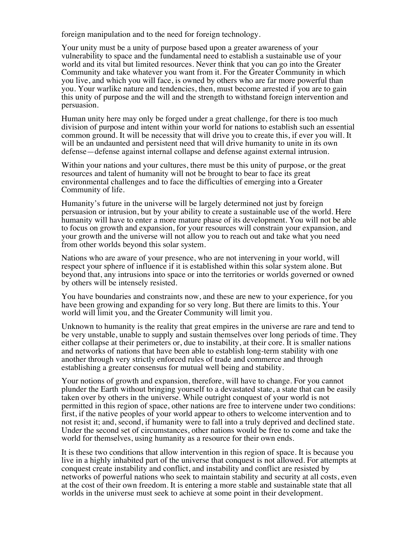foreign manipulation and to the need for foreign technology.

Your unity must be a unity of purpose based upon a greater awareness of your vulnerability to space and the fundamental need to establish a sustainable use of your world and its vital but limited resources. Never think that you can go into the Greater Community and take whatever you want from it. For the Greater Community in which you live, and which you will face, is owned by others who are far more powerful than you. Your warlike nature and tendencies, then, must become arrested if you are to gain this unity of purpose and the will and the strength to withstand foreign intervention and persuasion.

Human unity here may only be forged under a great challenge, for there is too much division of purpose and intent within your world for nations to establish such an essential common ground. It will be necessity that will drive you to create this, if ever you will. It will be an undaunted and persistent need that will drive humanity to unite in its own defense—defense against internal collapse and defense against external intrusion.

Within your nations and your cultures, there must be this unity of purpose, or the great resources and talent of humanity will not be brought to bear to face its great environmental challenges and to face the difficulties of emerging into a Greater Community of life.

Humanity's future in the universe will be largely determined not just by foreign persuasion or intrusion, but by your ability to create a sustainable use of the world. Here humanity will have to enter a more mature phase of its development. You will not be able to focus on growth and expansion, for your resources will constrain your expansion, and your growth and the universe will not allow you to reach out and take what you need from other worlds beyond this solar system.

Nations who are aware of your presence, who are not intervening in your world, will respect your sphere of influence if it is established within this solar system alone. But beyond that, any intrusions into space or into the territories or worlds governed or owned by others will be intensely resisted.

You have boundaries and constraints now, and these are new to your experience, for you have been growing and expanding for so very long. But there are limits to this. Your world will limit you, and the Greater Community will limit you.

Unknown to humanity is the reality that great empires in the universe are rare and tend to be very unstable, unable to supply and sustain themselves over long periods of time. They either collapse at their perimeters or, due to instability, at their core. It is smaller nations and networks of nations that have been able to establish long-term stability with one another through very strictly enforced rules of trade and commerce and through establishing a greater consensus for mutual well being and stability.

Your notions of growth and expansion, therefore, will have to change. For you cannot plunder the Earth without bringing yourself to a devastated state, a state that can be easily taken over by others in the universe. While outright conquest of your world is not permitted in this region of space, other nations are free to intervene under two conditions: first, if the native peoples of your world appear to others to welcome intervention and to not resist it; and, second, if humanity were to fall into a truly deprived and declined state. Under the second set of circumstances, other nations would be free to come and take the world for themselves, using humanity as a resource for their own ends.

It is these two conditions that allow intervention in this region of space. It is because you live in a highly inhabited part of the universe that conquest is not allowed. For attempts at conquest create instability and conflict, and instability and conflict are resisted by networks of powerful nations who seek to maintain stability and security at all costs, even at the cost of their own freedom. It is entering a more stable and sustainable state that all worlds in the universe must seek to achieve at some point in their development.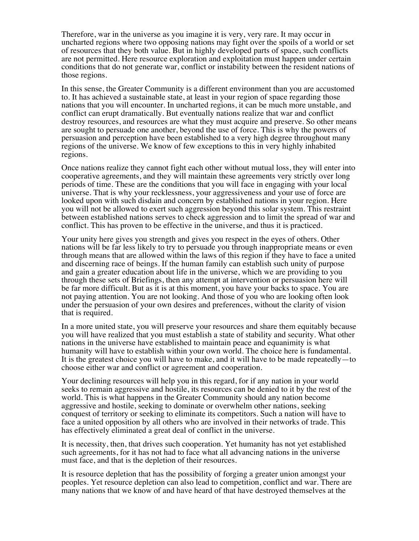Therefore, war in the universe as you imagine it is very, very rare. It may occur in uncharted regions where two opposing nations may fight over the spoils of a world or set of resources that they both value. But in highly developed parts of space, such conflicts are not permitted. Here resource exploration and exploitation must happen under certain conditions that do not generate war, conflict or instability between the resident nations of those regions.

In this sense, the Greater Community is a different environment than you are accustomed to. It has achieved a sustainable state, at least in your region of space regarding those nations that you will encounter. In uncharted regions, it can be much more unstable, and conflict can erupt dramatically. But eventually nations realize that war and conflict destroy resources, and resources are what they must acquire and preserve. So other means are sought to persuade one another, beyond the use of force. This is why the powers of persuasion and perception have been established to a very high degree throughout many regions of the universe. We know of few exceptions to this in very highly inhabited regions.

Once nations realize they cannot fight each other without mutual loss, they will enter into cooperative agreements, and they will maintain these agreements very strictly over long periods of time. These are the conditions that you will face in engaging with your local universe. That is why your recklessness, your aggressiveness and your use of force are looked upon with such disdain and concern by established nations in your region. Here you will not be allowed to exert such aggression beyond this solar system. This restraint between established nations serves to check aggression and to limit the spread of war and conflict. This has proven to be effective in the universe, and thus it is practiced.

Your unity here gives you strength and gives you respect in the eyes of others. Other nations will be far less likely to try to persuade you through inappropriate means or even through means that are allowed within the laws of this region if they have to face a united and discerning race of beings. If the human family can establish such unity of purpose and gain a greater education about life in the universe, which we are providing to you through these sets of Briefings, then any attempt at intervention or persuasion here will be far more difficult. But as it is at this moment, you have your backs to space. You are not paying attention. You are not looking. And those of you who are looking often look under the persuasion of your own desires and preferences, without the clarity of vision that is required.

In a more united state, you will preserve your resources and share them equitably because you will have realized that you must establish a state of stability and security. What other nations in the universe have established to maintain peace and equanimity is what humanity will have to establish within your own world. The choice here is fundamental. It is the greatest choice you will have to make, and it will have to be made repeatedly—to choose either war and conflict or agreement and cooperation.

Your declining resources will help you in this regard, for if any nation in your world seeks to remain aggressive and hostile, its resources can be denied to it by the rest of the world. This is what happens in the Greater Community should any nation become aggressive and hostile, seeking to dominate or overwhelm other nations, seeking conquest of territory or seeking to eliminate its competitors. Such a nation will have to face a united opposition by all others who are involved in their networks of trade. This has effectively eliminated a great deal of conflict in the universe.

It is necessity, then, that drives such cooperation. Yet humanity has not yet established such agreements, for it has not had to face what all advancing nations in the universe must face, and that is the depletion of their resources.

It is resource depletion that has the possibility of forging a greater union amongst your peoples. Yet resource depletion can also lead to competition, conflict and war. There are many nations that we know of and have heard of that have destroyed themselves at the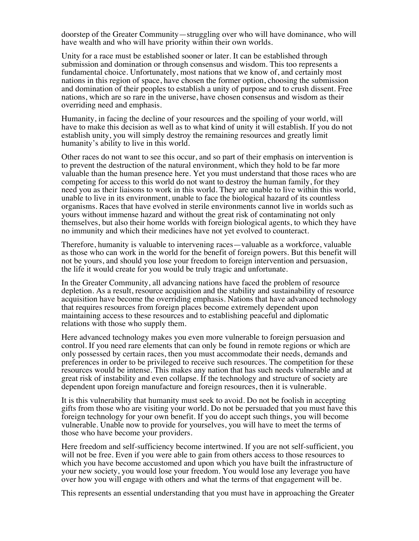doorstep of the Greater Community—struggling over who will have dominance, who will have wealth and who will have priority within their own worlds.

Unity for a race must be established sooner or later. It can be established through submission and domination or through consensus and wisdom. This too represents a fundamental choice. Unfortunately, most nations that we know of, and certainly most nations in this region of space, have chosen the former option, choosing the submission and domination of their peoples to establish a unity of purpose and to crush dissent. Free nations, which are so rare in the universe, have chosen consensus and wisdom as their overriding need and emphasis.

Humanity, in facing the decline of your resources and the spoiling of your world, will have to make this decision as well as to what kind of unity it will establish. If you do not establish unity, you will simply destroy the remaining resources and greatly limit humanity's ability to live in this world.

Other races do not want to see this occur, and so part of their emphasis on intervention is to prevent the destruction of the natural environment, which they hold to be far more valuable than the human presence here. Yet you must understand that those races who are competing for access to this world do not want to destroy the human family, for they need you as their liaisons to work in this world. They are unable to live within this world, unable to live in its environment, unable to face the biological hazard of its countless organisms. Races that have evolved in sterile environments cannot live in worlds such as yours without immense hazard and without the great risk of contaminating not only themselves, but also their home worlds with foreign biological agents, to which they have no immunity and which their medicines have not yet evolved to counteract.

Therefore, humanity is valuable to intervening races—valuable as a workforce, valuable as those who can work in the world for the benefit of foreign powers. But this benefit will not be yours, and should you lose your freedom to foreign intervention and persuasion, the life it would create for you would be truly tragic and unfortunate.

In the Greater Community, all advancing nations have faced the problem of resource depletion. As a result, resource acquisition and the stability and sustainability of resource acquisition have become the overriding emphasis. Nations that have advanced technology that requires resources from foreign places become extremely dependent upon maintaining access to these resources and to establishing peaceful and diplomatic relations with those who supply them.

Here advanced technology makes you even more vulnerable to foreign persuasion and control. If you need rare elements that can only be found in remote regions or which are only possessed by certain races, then you must accommodate their needs, demands and preferences in order to be privileged to receive such resources. The competition for these resources would be intense. This makes any nation that has such needs vulnerable and at great risk of instability and even collapse. If the technology and structure of society are dependent upon foreign manufacture and foreign resources, then it is vulnerable.

It is this vulnerability that humanity must seek to avoid. Do not be foolish in accepting gifts from those who are visiting your world. Do not be persuaded that you must have this foreign technology for your own benefit. If you do accept such things, you will become vulnerable. Unable now to provide for yourselves, you will have to meet the terms of those who have become your providers.

Here freedom and self-sufficiency become intertwined. If you are not self-sufficient, you will not be free. Even if you were able to gain from others access to those resources to which you have become accustomed and upon which you have built the infrastructure of your new society, you would lose your freedom. You would lose any leverage you have over how you will engage with others and what the terms of that engagement will be.

This represents an essential understanding that you must have in approaching the Greater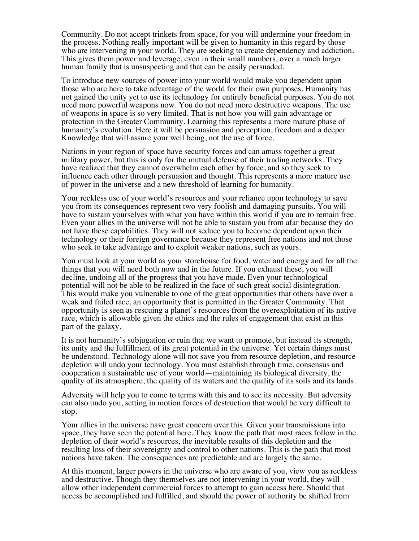Community. Do not accept trinkets from space, for you will undermine your freedom in the process. Nothing really important will be given to humanity in this regard by those who are intervening in your world. They are seeking to create dependency and addiction. This gives them power and leverage, even in their small numbers, over a much larger human family that is unsuspecting and that can be easily persuaded.

To introduce new sources of power into your world would make you dependent upon those who are here to take advantage of the world for their own purposes. Humanity has not gained the unity yet to use its technology for entirely beneficial purposes. You do not need more powerful weapons now. You do not need more destructive weapons. The use of weapons in space is so very limited. That is not how you will gain advantage or protection in the Greater Community. Learning this represents a more mature phase of humanity's evolution. Here it will be persuasion and perception, freedom and a deeper Knowledge that will assure your well being, not the use of force.

Nations in your region of space have security forces and can amass together a great military power, but this is only for the mutual defense of their trading networks. They have realized that they cannot overwhelm each other by force, and so they seek to influence each other through persuasion and thought. This represents a more mature use of power in the universe and a new threshold of learning for humanity.

Your reckless use of your world's resources and your reliance upon technology to save you from its consequences represent two very foolish and damaging pursuits. You will have to sustain yourselves with what you have within this world if you are to remain free. Even your allies in the universe will not be able to sustain you from afar because they do not have these capabilities. They will not seduce you to become dependent upon their technology or their foreign governance because they represent free nations and not those who seek to take advantage and to exploit weaker nations, such as yours.

You must look at your world as your storehouse for food, water and energy and for all the things that you will need both now and in the future. If you exhaust these, you will decline, undoing all of the progress that you have made. Even your technological potential will not be able to be realized in the face of such great social disintegration. This would make you vulnerable to one of the great opportunities that others have over a weak and failed race, an opportunity that is permitted in the Greater Community. That opportunity is seen as rescuing a planet's resources from the overexploitation of its native race, which is allowable given the ethics and the rules of engagement that exist in this part of the galaxy.

It is not humanity's subjugation or ruin that we want to promote, but instead its strength, its unity and the fulfillment of its great potential in the universe. Yet certain things must be understood. Technology alone will not save you from resource depletion, and resource depletion will undo your technology. You must establish through time, consensus and cooperation a sustainable use of your world—maintaining its biological diversity, the quality of its atmosphere, the quality of its waters and the quality of its soils and its lands.

Adversity will help you to come to terms with this and to see its necessity. But adversity can also undo you, setting in motion forces of destruction that would be very difficult to stop.

Your allies in the universe have great concern over this. Given your transmissions into space, they have seen the potential here. They know the path that most races follow in the depletion of their world's resources, the inevitable results of this depletion and the resulting loss of their sovereignty and control to other nations. This is the path that most nations have taken. The consequences are predictable and are largely the same.

At this moment, larger powers in the universe who are aware of you, view you as reckless and destructive. Though they themselves are not intervening in your world, they will allow other independent commercial forces to attempt to gain access here. Should that access be accomplished and fulfilled, and should the power of authority be shifted from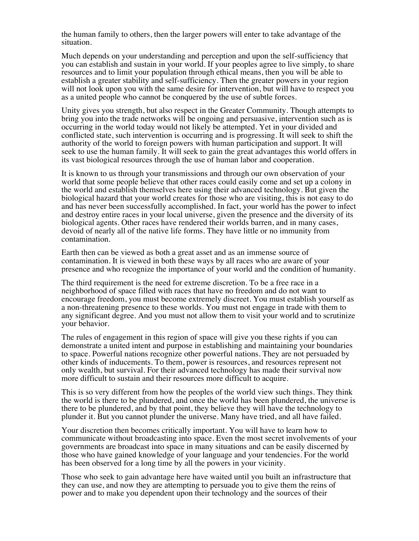the human family to others, then the larger powers will enter to take advantage of the situation.

Much depends on your understanding and perception and upon the self-sufficiency that you can establish and sustain in your world. If your peoples agree to live simply, to share resources and to limit your population through ethical means, then you will be able to establish a greater stability and self-sufficiency. Then the greater powers in your region will not look upon you with the same desire for intervention, but will have to respect you as a united people who cannot be conquered by the use of subtle forces.

Unity gives you strength, but also respect in the Greater Community. Though attempts to bring you into the trade networks will be ongoing and persuasive, intervention such as is occurring in the world today would not likely be attempted. Yet in your divided and conflicted state, such intervention is occurring and is progressing. It will seek to shift the authority of the world to foreign powers with human participation and support. It will seek to use the human family. It will seek to gain the great advantages this world offers in its vast biological resources through the use of human labor and cooperation.

It is known to us through your transmissions and through our own observation of your world that some people believe that other races could easily come and set up a colony in the world and establish themselves here using their advanced technology. But given the biological hazard that your world creates for those who are visiting, this is not easy to do and has never been successfully accomplished. In fact, your world has the power to infect and destroy entire races in your local universe, given the presence and the diversity of its biological agents. Other races have rendered their worlds barren, and in many cases, devoid of nearly all of the native life forms. They have little or no immunity from contamination.

Earth then can be viewed as both a great asset and as an immense source of contamination. It is viewed in both these ways by all races who are aware of your presence and who recognize the importance of your world and the condition of humanity.

The third requirement is the need for extreme discretion. To be a free race in a neighborhood of space filled with races that have no freedom and do not want to encourage freedom, you must become extremely discreet. You must establish yourself as a non-threatening presence to these worlds. You must not engage in trade with them to any significant degree. And you must not allow them to visit your world and to scrutinize your behavior.

The rules of engagement in this region of space will give you these rights if you can demonstrate a united intent and purpose in establishing and maintaining your boundaries to space. Powerful nations recognize other powerful nations. They are not persuaded by other kinds of inducements. To them, power is resources, and resources represent not only wealth, but survival. For their advanced technology has made their survival now more difficult to sustain and their resources more difficult to acquire.

This is so very different from how the peoples of the world view such things. They think the world is there to be plundered, and once the world has been plundered, the universe is there to be plundered, and by that point, they believe they will have the technology to plunder it. But you cannot plunder the universe. Many have tried, and all have failed.

Your discretion then becomes critically important. You will have to learn how to communicate without broadcasting into space. Even the most secret involvements of your governments are broadcast into space in many situations and can be easily discerned by those who have gained knowledge of your language and your tendencies. For the world has been observed for a long time by all the powers in your vicinity.

Those who seek to gain advantage here have waited until you built an infrastructure that they can use, and now they are attempting to persuade you to give them the reins of power and to make you dependent upon their technology and the sources of their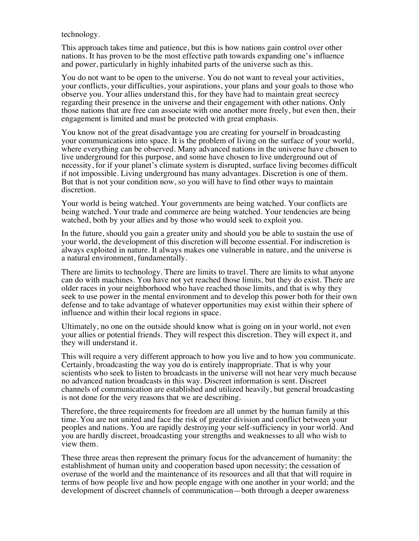technology.

This approach takes time and patience, but this is how nations gain control over other nations. It has proven to be the most effective path towards expanding one's influence and power, particularly in highly inhabited parts of the universe such as this.

You do not want to be open to the universe. You do not want to reveal your activities, your conflicts, your difficulties, your aspirations, your plans and your goals to those who observe you. Your allies understand this, for they have had to maintain great secrecy regarding their presence in the universe and their engagement with other nations. Only those nations that are free can associate with one another more freely, but even then, their engagement is limited and must be protected with great emphasis.

You know not of the great disadvantage you are creating for yourself in broadcasting your communications into space. It is the problem of living on the surface of your world, where everything can be observed. Many advanced nations in the universe have chosen to live underground for this purpose, and some have chosen to live underground out of necessity, for if your planet's climate system is disrupted, surface living becomes difficult if not impossible. Living underground has many advantages. Discretion is one of them. But that is not your condition now, so you will have to find other ways to maintain discretion.

Your world is being watched. Your governments are being watched. Your conflicts are being watched. Your trade and commerce are being watched. Your tendencies are being watched, both by your allies and by those who would seek to exploit you.

In the future, should you gain a greater unity and should you be able to sustain the use of your world, the development of this discretion will become essential. For indiscretion is always exploited in nature. It always makes one vulnerable in nature, and the universe is a natural environment, fundamentally.

There are limits to technology. There are limits to travel. There are limits to what anyone can do with machines. You have not yet reached those limits, but they do exist. There are older races in your neighborhood who have reached those limits, and that is why they seek to use power in the mental environment and to develop this power both for their own defense and to take advantage of whatever opportunities may exist within their sphere of influence and within their local regions in space.

Ultimately, no one on the outside should know what is going on in your world, not even your allies or potential friends. They will respect this discretion. They will expect it, and they will understand it.

This will require a very different approach to how you live and to how you communicate. Certainly, broadcasting the way you do is entirely inappropriate. That is why your scientists who seek to listen to broadcasts in the universe will not hear very much because no advanced nation broadcasts in this way. Discreet information is sent. Discreet channels of communication are established and utilized heavily, but general broadcasting is not done for the very reasons that we are describing.

Therefore, the three requirements for freedom are all unmet by the human family at this time. You are not united and face the risk of greater division and conflict between your peoples and nations. You are rapidly destroying your self-sufficiency in your world. And you are hardly discreet, broadcasting your strengths and weaknesses to all who wish to view them.

These three areas then represent the primary focus for the advancement of humanity: the establishment of human unity and cooperation based upon necessity; the cessation of overuse of the world and the maintenance of its resources and all that that will require in terms of how people live and how people engage with one another in your world; and the development of discreet channels of communication—both through a deeper awareness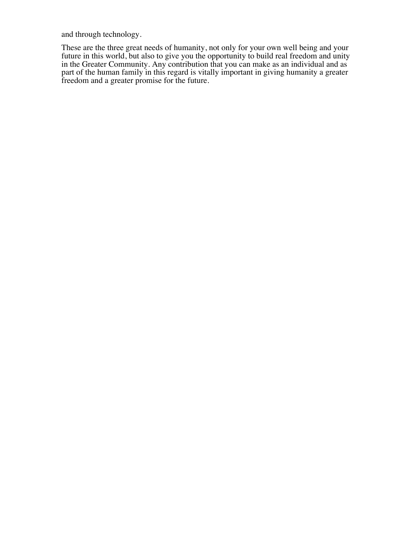and through technology.

These are the three great needs of humanity, not only for your own well being and your future in this world, but also to give you the opportunity to build real freedom and unity in the Greater Community. Any contribution that you can make as an individual and as part of the human family in this regard is vitally important in giving humanity a greater freedom and a greater promise for the future.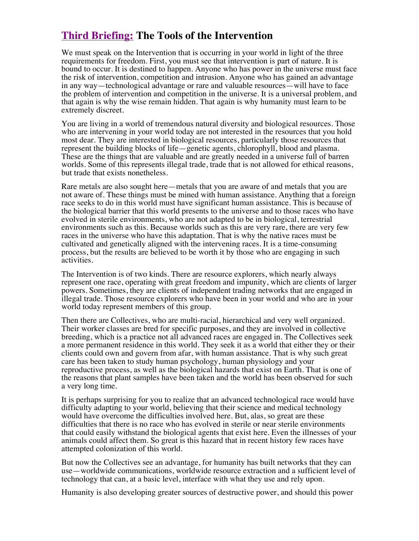## <span id="page-26-0"></span>**Third Briefing: [The Tools of the Intervention](#page-4-0)**

We must speak on the Intervention that is occurring in your world in light of the three requirements for freedom. First, you must see that intervention is part of nature. It is bound to occur. It is destined to happen. Anyone who has power in the universe must face the risk of intervention, competition and intrusion. Anyone who has gained an advantage in any way—technological advantage or rare and valuable resources—will have to face the problem of intervention and competition in the universe. It is a universal problem, and that again is why the wise remain hidden. That again is why humanity must learn to be extremely discreet.

You are living in a world of tremendous natural diversity and biological resources. Those who are intervening in your world today are not interested in the resources that you hold most dear. They are interested in biological resources, particularly those resources that represent the building blocks of life—genetic agents, chlorophyll, blood and plasma. These are the things that are valuable and are greatly needed in a universe full of barren worlds. Some of this represents illegal trade, trade that is not allowed for ethical reasons, but trade that exists nonetheless.

Rare metals are also sought here—metals that you are aware of and metals that you are not aware of. These things must be mined with human assistance. Anything that a foreign race seeks to do in this world must have significant human assistance. This is because of the biological barrier that this world presents to the universe and to those races who have evolved in sterile environments, who are not adapted to be in biological, terrestrial environments such as this. Because worlds such as this are very rare, there are very few races in the universe who have this adaptation. That is why the native races must be cultivated and genetically aligned with the intervening races. It is a time-consuming process, but the results are believed to be worth it by those who are engaging in such activities.

The Intervention is of two kinds. There are resource explorers, which nearly always represent one race, operating with great freedom and impunity, which are clients of larger powers. Sometimes, they are clients of independent trading networks that are engaged in illegal trade. Those resource explorers who have been in your world and who are in your world today represent members of this group.

Then there are Collectives, who are multi-racial, hierarchical and very well organized. Their worker classes are bred for specific purposes, and they are involved in collective breeding, which is a practice not all advanced races are engaged in. The Collectives seek a more permanent residence in this world. They seek it as a world that either they or their clients could own and govern from afar, with human assistance. That is why such great care has been taken to study human psychology, human physiology and your reproductive process, as well as the biological hazards that exist on Earth. That is one of the reasons that plant samples have been taken and the world has been observed for such a very long time.

It is perhaps surprising for you to realize that an advanced technological race would have difficulty adapting to your world, believing that their science and medical technology would have overcome the difficulties involved here. But, alas, so great are these difficulties that there is no race who has evolved in sterile or near sterile environments that could easily withstand the biological agents that exist here. Even the illnesses of your animals could affect them. So great is this hazard that in recent history few races have attempted colonization of this world.

But now the Collectives see an advantage, for humanity has built networks that they can use—worldwide communications, worldwide resource extraction and a sufficient level of technology that can, at a basic level, interface with what they use and rely upon.

Humanity is also developing greater sources of destructive power, and should this power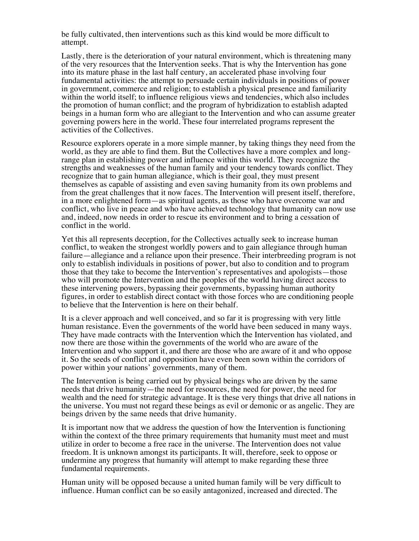be fully cultivated, then interventions such as this kind would be more difficult to attempt.

Lastly, there is the deterioration of your natural environment, which is threatening many of the very resources that the Intervention seeks. That is why the Intervention has gone into its mature phase in the last half century, an accelerated phase involving four fundamental activities: the attempt to persuade certain individuals in positions of power in government, commerce and religion; to establish a physical presence and familiarity within the world itself; to influence religious views and tendencies, which also includes the promotion of human conflict; and the program of hybridization to establish adapted beings in a human form who are allegiant to the Intervention and who can assume greater governing powers here in the world. These four interrelated programs represent the activities of the Collectives.

Resource explorers operate in a more simple manner, by taking things they need from the world, as they are able to find them. But the Collectives have a more complex and longrange plan in establishing power and influence within this world. They recognize the strengths and weaknesses of the human family and your tendency towards conflict. They recognize that to gain human allegiance, which is their goal, they must present themselves as capable of assisting and even saving humanity from its own problems and from the great challenges that it now faces. The Intervention will present itself, therefore, in a more enlightened form—as spiritual agents, as those who have overcome war and conflict, who live in peace and who have achieved technology that humanity can now use and, indeed, now needs in order to rescue its environment and to bring a cessation of conflict in the world.

Yet this all represents deception, for the Collectives actually seek to increase human conflict, to weaken the strongest worldly powers and to gain allegiance through human failure—allegiance and a reliance upon their presence. Their interbreeding program is not only to establish individuals in positions of power, but also to condition and to program those that they take to become the Intervention's representatives and apologists—those who will promote the Intervention and the peoples of the world having direct access to these intervening powers, bypassing their governments, bypassing human authority figures, in order to establish direct contact with those forces who are conditioning people to believe that the Intervention is here on their behalf.

It is a clever approach and well conceived, and so far it is progressing with very little human resistance. Even the governments of the world have been seduced in many ways. They have made contracts with the Intervention which the Intervention has violated, and now there are those within the governments of the world who are aware of the Intervention and who support it, and there are those who are aware of it and who oppose it. So the seeds of conflict and opposition have even been sown within the corridors of power within your nations' governments, many of them.

The Intervention is being carried out by physical beings who are driven by the same needs that drive humanity—the need for resources, the need for power, the need for wealth and the need for strategic advantage. It is these very things that drive all nations in the universe. You must not regard these beings as evil or demonic or as angelic. They are beings driven by the same needs that drive humanity.

It is important now that we address the question of how the Intervention is functioning within the context of the three primary requirements that humanity must meet and must utilize in order to become a free race in the universe. The Intervention does not value freedom. It is unknown amongst its participants. It will, therefore, seek to oppose or undermine any progress that humanity will attempt to make regarding these three fundamental requirements.

Human unity will be opposed because a united human family will be very difficult to influence. Human conflict can be so easily antagonized, increased and directed. The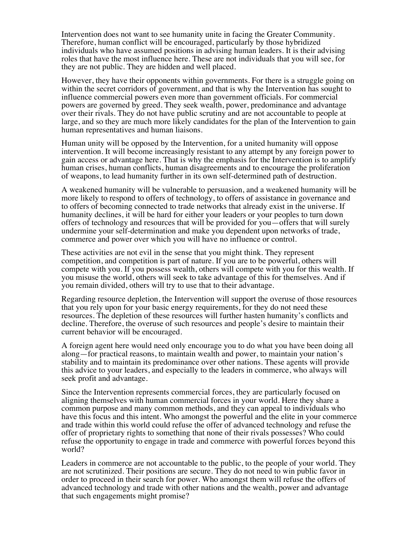Intervention does not want to see humanity unite in facing the Greater Community. Therefore, human conflict will be encouraged, particularly by those hybridized individuals who have assumed positions in advising human leaders. It is their advising roles that have the most influence here. These are not individuals that you will see, for they are not public. They are hidden and well placed.

However, they have their opponents within governments. For there is a struggle going on within the secret corridors of government, and that is why the Intervention has sought to influence commercial powers even more than government officials. For commercial powers are governed by greed. They seek wealth, power, predominance and advantage over their rivals. They do not have public scrutiny and are not accountable to people at large, and so they are much more likely candidates for the plan of the Intervention to gain human representatives and human liaisons.

Human unity will be opposed by the Intervention, for a united humanity will oppose intervention. It will become increasingly resistant to any attempt by any foreign power to gain access or advantage here. That is why the emphasis for the Intervention is to amplify human crises, human conflicts, human disagreements and to encourage the proliferation of weapons, to lead humanity further in its own self-determined path of destruction.

A weakened humanity will be vulnerable to persuasion, and a weakened humanity will be more likely to respond to offers of technology, to offers of assistance in governance and to offers of becoming connected to trade networks that already exist in the universe. If humanity declines, it will be hard for either your leaders or your peoples to turn down offers of technology and resources that will be provided for you—offers that will surely undermine your self-determination and make you dependent upon networks of trade, commerce and power over which you will have no influence or control.

These activities are not evil in the sense that you might think. They represent competition, and competition is part of nature. If you are to be powerful, others will compete with you. If you possess wealth, others will compete with you for this wealth. If you misuse the world, others will seek to take advantage of this for themselves. And if you remain divided, others will try to use that to their advantage.

Regarding resource depletion, the Intervention will support the overuse of those resources that you rely upon for your basic energy requirements, for they do not need these resources. The depletion of these resources will further hasten humanity's conflicts and decline. Therefore, the overuse of such resources and people's desire to maintain their current behavior will be encouraged.

A foreign agent here would need only encourage you to do what you have been doing all along—for practical reasons, to maintain wealth and power, to maintain your nation's stability and to maintain its predominance over other nations. These agents will provide this advice to your leaders, and especially to the leaders in commerce, who always will seek profit and advantage.

Since the Intervention represents commercial forces, they are particularly focused on aligning themselves with human commercial forces in your world. Here they share a common purpose and many common methods, and they can appeal to individuals who have this focus and this intent. Who amongst the powerful and the elite in your commerce and trade within this world could refuse the offer of advanced technology and refuse the offer of proprietary rights to something that none of their rivals possesses? Who could refuse the opportunity to engage in trade and commerce with powerful forces beyond this world?

Leaders in commerce are not accountable to the public, to the people of your world. They are not scrutinized. Their positions are secure. They do not need to win public favor in order to proceed in their search for power. Who amongst them will refuse the offers of advanced technology and trade with other nations and the wealth, power and advantage that such engagements might promise?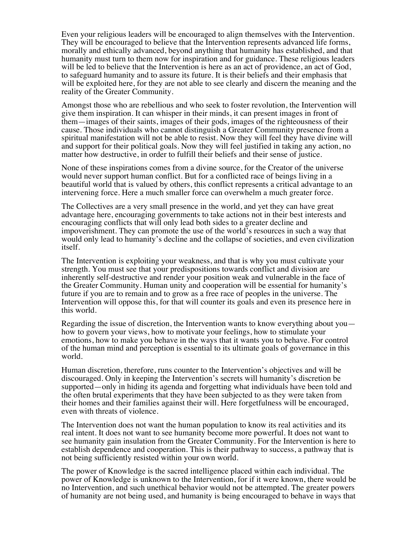Even your religious leaders will be encouraged to align themselves with the Intervention. They will be encouraged to believe that the Intervention represents advanced life forms, morally and ethically advanced, beyond anything that humanity has established, and that humanity must turn to them now for inspiration and for guidance. These religious leaders will be led to believe that the Intervention is here as an act of providence, an act of God, to safeguard humanity and to assure its future. It is their beliefs and their emphasis that will be exploited here, for they are not able to see clearly and discern the meaning and the reality of the Greater Community.

Amongst those who are rebellious and who seek to foster revolution, the Intervention will give them inspiration. It can whisper in their minds, it can present images in front of them—images of their saints, images of their gods, images of the righteousness of their cause. Those individuals who cannot distinguish a Greater Community presence from a spiritual manifestation will not be able to resist. Now they will feel they have divine will and support for their political goals. Now they will feel justified in taking any action, no matter how destructive, in order to fulfill their beliefs and their sense of justice.

None of these inspirations comes from a divine source, for the Creator of the universe would never support human conflict. But for a conflicted race of beings living in a beautiful world that is valued by others, this conflict represents a critical advantage to an intervening force. Here a much smaller force can overwhelm a much greater force.

The Collectives are a very small presence in the world, and yet they can have great advantage here, encouraging governments to take actions not in their best interests and encouraging conflicts that will only lead both sides to a greater decline and impoverishment. They can promote the use of the world's resources in such a way that would only lead to humanity's decline and the collapse of societies, and even civilization itself.

The Intervention is exploiting your weakness, and that is why you must cultivate your strength. You must see that your predispositions towards conflict and division are inherently self-destructive and render your position weak and vulnerable in the face of the Greater Community. Human unity and cooperation will be essential for humanity's future if you are to remain and to grow as a free race of peoples in the universe. The Intervention will oppose this, for that will counter its goals and even its presence here in this world.

Regarding the issue of discretion, the Intervention wants to know everything about you— how to govern your views, how to motivate your feelings, how to stimulate your emotions, how to make you behave in the ways that it wants you to behave. For control of the human mind and perception is essential to its ultimate goals of governance in this world.

Human discretion, therefore, runs counter to the Intervention's objectives and will be discouraged. Only in keeping the Intervention's secrets will humanity's discretion be supported—only in hiding its agenda and forgetting what individuals have been told and the often brutal experiments that they have been subjected to as they were taken from their homes and their families against their will. Here forgetfulness will be encouraged, even with threats of violence.

The Intervention does not want the human population to know its real activities and its real intent. It does not want to see humanity become more powerful. It does not want to see humanity gain insulation from the Greater Community. For the Intervention is here to establish dependence and cooperation. This is their pathway to success, a pathway that is not being sufficiently resisted within your own world.

The power of Knowledge is the sacred intelligence placed within each individual. The power of Knowledge is unknown to the Intervention, for if it were known, there would be no Intervention, and such unethical behavior would not be attempted. The greater powers of humanity are not being used, and humanity is being encouraged to behave in ways that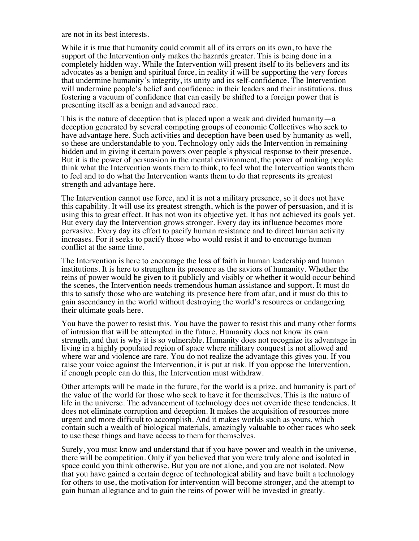are not in its best interests.

While it is true that humanity could commit all of its errors on its own, to have the support of the Intervention only makes the hazards greater. This is being done in a completely hidden way. While the Intervention will present itself to its believers and its advocates as a benign and spiritual force, in reality it will be supporting the very forces that undermine humanity's integrity, its unity and its self-confidence. The Intervention will undermine people's belief and confidence in their leaders and their institutions, thus fostering a vacuum of confidence that can easily be shifted to a foreign power that is presenting itself as a benign and advanced race.

This is the nature of deception that is placed upon a weak and divided humanity—a deception generated by several competing groups of economic Collectives who seek to have advantage here. Such activities and deception have been used by humanity as well, so these are understandable to you. Technology only aids the Intervention in remaining hidden and in giving it certain powers over people's physical response to their presence. But it is the power of persuasion in the mental environment, the power of making people think what the Intervention wants them to think, to feel what the Intervention wants them to feel and to do what the Intervention wants them to do that represents its greatest strength and advantage here.

The Intervention cannot use force, and it is not a military presence, so it does not have this capability. It will use its greatest strength, which is the power of persuasion, and it is using this to great effect. It has not won its objective yet. It has not achieved its goals yet. But every day the Intervention grows stronger. Every day its influence becomes more pervasive. Every day its effort to pacify human resistance and to direct human activity increases. For it seeks to pacify those who would resist it and to encourage human conflict at the same time.

The Intervention is here to encourage the loss of faith in human leadership and human institutions. It is here to strengthen its presence as the saviors of humanity. Whether the reins of power would be given to it publicly and visibly or whether it would occur behind the scenes, the Intervention needs tremendous human assistance and support. It must do this to satisfy those who are watching its presence here from afar, and it must do this to gain ascendancy in the world without destroying the world's resources or endangering their ultimate goals here.

You have the power to resist this. You have the power to resist this and many other forms of intrusion that will be attempted in the future. Humanity does not know its own strength, and that is why it is so vulnerable. Humanity does not recognize its advantage in living in a highly populated region of space where military conquest is not allowed and where war and violence are rare. You do not realize the advantage this gives you. If you raise your voice against the Intervention, it is put at risk. If you oppose the Intervention, if enough people can do this, the Intervention must withdraw.

Other attempts will be made in the future, for the world is a prize, and humanity is part of the value of the world for those who seek to have it for themselves. This is the nature of life in the universe. The advancement of technology does not override these tendencies. It does not eliminate corruption and deception. It makes the acquisition of resources more urgent and more difficult to accomplish. And it makes worlds such as yours, which contain such a wealth of biological materials, amazingly valuable to other races who seek to use these things and have access to them for themselves.

Surely, you must know and understand that if you have power and wealth in the universe, there will be competition. Only if you believed that you were truly alone and isolated in space could you think otherwise. But you are not alone, and you are not isolated. Now that you have gained a certain degree of technological ability and have built a technology for others to use, the motivation for intervention will become stronger, and the attempt to gain human allegiance and to gain the reins of power will be invested in greatly.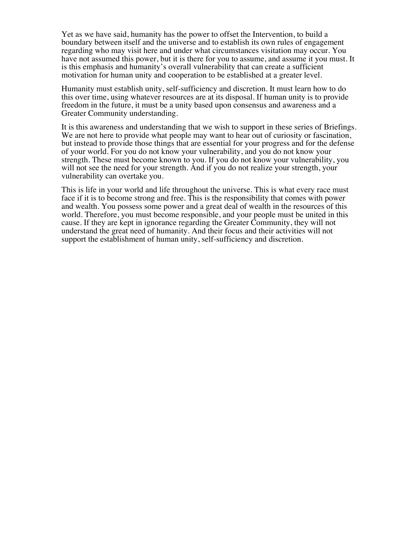Yet as we have said, humanity has the power to offset the Intervention, to build a boundary between itself and the universe and to establish its own rules of engagement regarding who may visit here and under what circumstances visitation may occur. You have not assumed this power, but it is there for you to assume, and assume it you must. It is this emphasis and humanity's overall vulnerability that can create a sufficient motivation for human unity and cooperation to be established at a greater level.

Humanity must establish unity, self-sufficiency and discretion. It must learn how to do this over time, using whatever resources are at its disposal. If human unity is to provide freedom in the future, it must be a unity based upon consensus and awareness and a Greater Community understanding.

It is this awareness and understanding that we wish to support in these series of Briefings. We are not here to provide what people may want to hear out of curiosity or fascination, but instead to provide those things that are essential for your progress and for the defense of your world. For you do not know your vulnerability, and you do not know your strength. These must become known to you. If you do not know your vulnerability, you will not see the need for your strength. And if you do not realize your strength, your vulnerability can overtake you.

This is life in your world and life throughout the universe. This is what every race must face if it is to become strong and free. This is the responsibility that comes with power and wealth. You possess some power and a great deal of wealth in the resources of this world. Therefore, you must become responsible, and your people must be united in this cause. If they are kept in ignorance regarding the Greater Community, they will not understand the great need of humanity. And their focus and their activities will not support the establishment of human unity, self-sufficiency and discretion.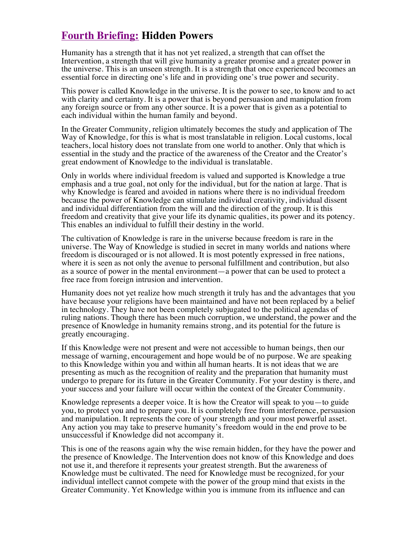## <span id="page-32-0"></span>**[Fourth Briefing:](#page-4-0) Hidden Powers**

Humanity has a strength that it has not yet realized, a strength that can offset the Intervention, a strength that will give humanity a greater promise and a greater power in the universe. This is an unseen strength. It is a strength that once experienced becomes an essential force in directing one's life and in providing one's true power and security.

This power is called Knowledge in the universe. It is the power to see, to know and to act with clarity and certainty. It is a power that is beyond persuasion and manipulation from any foreign source or from any other source. It is a power that is given as a potential to each individual within the human family and beyond.

In the Greater Community, religion ultimately becomes the study and application of The Way of Knowledge, for this is what is most translatable in religion. Local customs, local teachers, local history does not translate from one world to another. Only that which is essential in the study and the practice of the awareness of the Creator and the Creator's great endowment of Knowledge to the individual is translatable.

Only in worlds where individual freedom is valued and supported is Knowledge a true emphasis and a true goal, not only for the individual, but for the nation at large. That is why Knowledge is feared and avoided in nations where there is no individual freedom because the power of Knowledge can stimulate individual creativity, individual dissent and individual differentiation from the will and the direction of the group. It is this freedom and creativity that give your life its dynamic qualities, its power and its potency. This enables an individual to fulfill their destiny in the world.

The cultivation of Knowledge is rare in the universe because freedom is rare in the universe. The Way of Knowledge is studied in secret in many worlds and nations where freedom is discouraged or is not allowed. It is most potently expressed in free nations, where it is seen as not only the avenue to personal fulfillment and contribution, but also as a source of power in the mental environment—a power that can be used to protect a free race from foreign intrusion and intervention.

Humanity does not yet realize how much strength it truly has and the advantages that you have because your religions have been maintained and have not been replaced by a belief in technology. They have not been completely subjugated to the political agendas of ruling nations. Though there has been much corruption, we understand, the power and the presence of Knowledge in humanity remains strong, and its potential for the future is greatly encouraging.

If this Knowledge were not present and were not accessible to human beings, then our message of warning, encouragement and hope would be of no purpose. We are speaking to this Knowledge within you and within all human hearts. It is not ideas that we are presenting as much as the recognition of reality and the preparation that humanity must undergo to prepare for its future in the Greater Community. For your destiny is there, and your success and your failure will occur within the context of the Greater Community.

Knowledge represents a deeper voice. It is how the Creator will speak to you—to guide you, to protect you and to prepare you. It is completely free from interference, persuasion and manipulation. It represents the core of your strength and your most powerful asset. Any action you may take to preserve humanity's freedom would in the end prove to be unsuccessful if Knowledge did not accompany it.

This is one of the reasons again why the wise remain hidden, for they have the power and the presence of Knowledge. The Intervention does not know of this Knowledge and does not use it, and therefore it represents your greatest strength. But the awareness of Knowledge must be cultivated. The need for Knowledge must be recognized, for your individual intellect cannot compete with the power of the group mind that exists in the Greater Community. Yet Knowledge within you is immune from its influence and can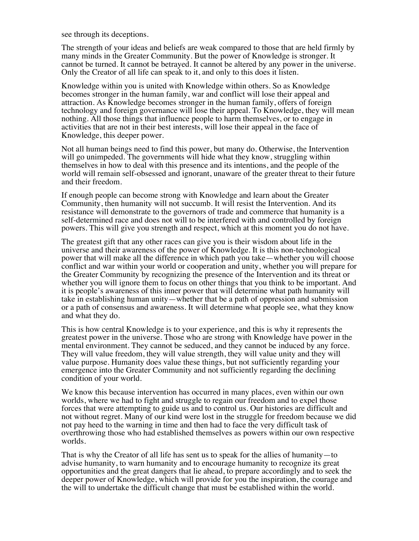see through its deceptions.

The strength of your ideas and beliefs are weak compared to those that are held firmly by many minds in the Greater Community. But the power of Knowledge is stronger. It cannot be turned. It cannot be betrayed. It cannot be altered by any power in the universe. Only the Creator of all life can speak to it, and only to this does it listen.

Knowledge within you is united with Knowledge within others. So as Knowledge becomes stronger in the human family, war and conflict will lose their appeal and attraction. As Knowledge becomes stronger in the human family, offers of foreign technology and foreign governance will lose their appeal. To Knowledge, they will mean nothing. All those things that influence people to harm themselves, or to engage in activities that are not in their best interests, will lose their appeal in the face of Knowledge, this deeper power.

Not all human beings need to find this power, but many do. Otherwise, the Intervention will go unimpeded. The governments will hide what they know, struggling within themselves in how to deal with this presence and its intentions, and the people of the world will remain self-obsessed and ignorant, unaware of the greater threat to their future and their freedom.

If enough people can become strong with Knowledge and learn about the Greater Community, then humanity will not succumb. It will resist the Intervention. And its resistance will demonstrate to the governors of trade and commerce that humanity is a self-determined race and does not will to be interfered with and controlled by foreign powers. This will give you strength and respect, which at this moment you do not have.

The greatest gift that any other races can give you is their wisdom about life in the universe and their awareness of the power of Knowledge. It is this non-technological power that will make all the difference in which path you take—whether you will choose conflict and war within your world or cooperation and unity, whether you will prepare for the Greater Community by recognizing the presence of the Intervention and its threat or whether you will ignore them to focus on other things that you think to be important. And it is people's awareness of this inner power that will determine what path humanity will take in establishing human unity—whether that be a path of oppression and submission or a path of consensus and awareness. It will determine what people see, what they know and what they do.

This is how central Knowledge is to your experience, and this is why it represents the greatest power in the universe. Those who are strong with Knowledge have power in the mental environment. They cannot be seduced, and they cannot be induced by any force. They will value freedom, they will value strength, they will value unity and they will value purpose. Humanity does value these things, but not sufficiently regarding your emergence into the Greater Community and not sufficiently regarding the declining condition of your world.

We know this because intervention has occurred in many places, even within our own worlds, where we had to fight and struggle to regain our freedom and to expel those forces that were attempting to guide us and to control us. Our histories are difficult and not without regret. Many of our kind were lost in the struggle for freedom because we did not pay heed to the warning in time and then had to face the very difficult task of overthrowing those who had established themselves as powers within our own respective worlds.

That is why the Creator of all life has sent us to speak for the allies of humanity—to advise humanity, to warn humanity and to encourage humanity to recognize its great opportunities and the great dangers that lie ahead, to prepare accordingly and to seek the deeper power of Knowledge, which will provide for you the inspiration, the courage and the will to undertake the difficult change that must be established within the world.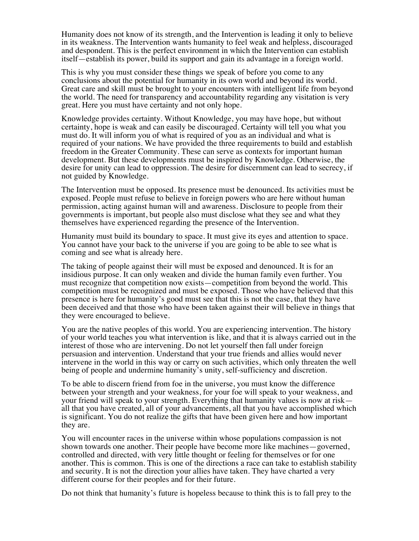Humanity does not know of its strength, and the Intervention is leading it only to believe in its weakness. The Intervention wants humanity to feel weak and helpless, discouraged and despondent. This is the perfect environment in which the Intervention can establish itself—establish its power, build its support and gain its advantage in a foreign world.

This is why you must consider these things we speak of before you come to any conclusions about the potential for humanity in its own world and beyond its world. Great care and skill must be brought to your encounters with intelligent life from beyond the world. The need for transparency and accountability regarding any visitation is very great. Here you must have certainty and not only hope.

Knowledge provides certainty. Without Knowledge, you may have hope, but without certainty, hope is weak and can easily be discouraged. Certainty will tell you what you must do. It will inform you of what is required of you as an individual and what is required of your nations. We have provided the three requirements to build and establish freedom in the Greater Community. These can serve as contexts for important human development. But these developments must be inspired by Knowledge. Otherwise, the desire for unity can lead to oppression. The desire for discernment can lead to secrecy, if not guided by Knowledge.

The Intervention must be opposed. Its presence must be denounced. Its activities must be exposed. People must refuse to believe in foreign powers who are here without human permission, acting against human will and awareness. Disclosure to people from their governments is important, but people also must disclose what they see and what they themselves have experienced regarding the presence of the Intervention.

Humanity must build its boundary to space. It must give its eyes and attention to space. You cannot have your back to the universe if you are going to be able to see what is coming and see what is already here.

The taking of people against their will must be exposed and denounced. It is for an insidious purpose. It can only weaken and divide the human family even further. You must recognize that competition now exists—competition from beyond the world. This competition must be recognized and must be exposed. Those who have believed that this presence is here for humanity's good must see that this is not the case, that they have been deceived and that those who have been taken against their will believe in things that they were encouraged to believe.

You are the native peoples of this world. You are experiencing intervention. The history of your world teaches you what intervention is like, and that it is always carried out in the interest of those who are intervening. Do not let yourself then fall under foreign persuasion and intervention. Understand that your true friends and allies would never intervene in the world in this way or carry on such activities, which only threaten the well being of people and undermine humanity's unity, self-sufficiency and discretion.

To be able to discern friend from foe in the universe, you must know the difference between your strength and your weakness, for your foe will speak to your weakness, and your friend will speak to your strength. Everything that humanity values is now at risk all that you have created, all of your advancements, all that you have accomplished which is significant. You do not realize the gifts that have been given here and how important they are.

You will encounter races in the universe within whose populations compassion is not shown towards one another. Their people have become more like machines—governed, controlled and directed, with very little thought or feeling for themselves or for one another. This is common. This is one of the directions a race can take to establish stability and security. It is not the direction your allies have taken. They have charted a very different course for their peoples and for their future.

Do not think that humanity's future is hopeless because to think this is to fall prey to the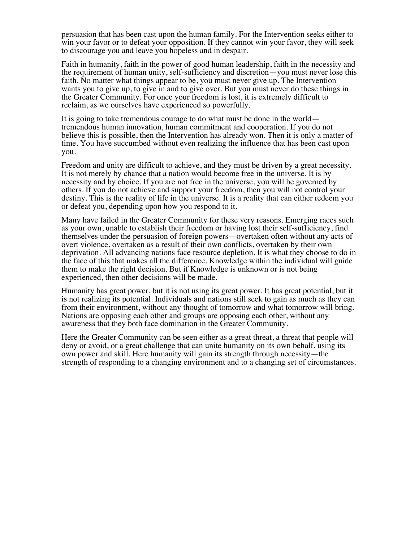persuasion that has been cast upon the human family. For the Intervention seeks either to win your favor or to defeat your opposition. If they cannot win your favor, they will seek to discourage you and leave you hopeless and in despair.

Faith in humanity, faith in the power of good human leadership, faith in the necessity and the requirement of human unity, self-sufficiency and discretion—you must never lose this faith. No matter what things appear to be, you must never give up. The Intervention wants you to give up, to give in and to give over. But you must never do these things in the Greater Community. For once your freedom is lost, it is extremely difficult to reclaim, as we ourselves have experienced so powerfully.

It is going to take tremendous courage to do what must be done in the world tremendous human innovation, human commitment and cooperation. If you do not believe this is possible, then the Intervention has already won. Then it is only a matter of time. You have succumbed without even realizing the influence that has been cast upon you.

Freedom and unity are difficult to achieve, and they must be driven by a great necessity. It is not merely by chance that a nation would become free in the universe. It is by necessity and by choice. If you are not free in the universe, you will be governed by others. If you do not achieve and support your freedom, then you will not control your destiny. This is the reality of life in the universe. It is a reality that can either redeem you or defeat you, depending upon how you respond to it.

Many have failed in the Greater Community for these very reasons. Emerging races such as your own, unable to establish their freedom or having lost their self-sufficiency, find themselves under the persuasion of foreign powers—overtaken often without any acts of overt violence, overtaken as a result of their own conflicts, overtaken by their own deprivation. All advancing nations face resource depletion. It is what they choose to do in the face of this that makes all the difference. Knowledge within the individual will guide them to make the right decision. But if Knowledge is unknown or is not being experienced, then other decisions will be made.

Humanity has great power, but it is not using its great power. It has great potential, but it is not realizing its potential. Individuals and nations still seek to gain as much as they can from their environment, without any thought of tomorrow and what tomorrow will bring. Nations are opposing each other and groups are opposing each other, without any awareness that they both face domination in the Greater Community.

Here the Greater Community can be seen either as a great threat, a threat that people will deny or avoid, or a great challenge that can unite humanity on its own behalf, using its own power and skill. Here humanity will gain its strength through necessity—the strength of responding to a changing environment and to a changing set of circumstances.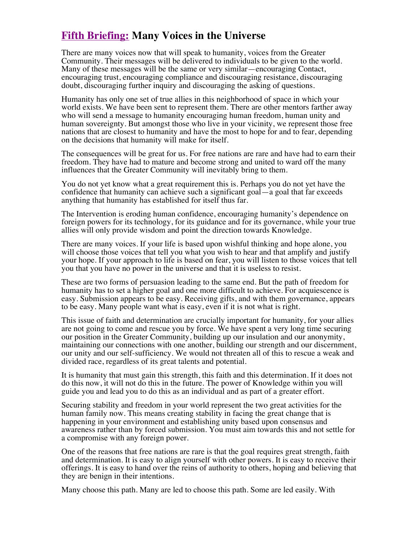## <span id="page-36-0"></span>**Fifth Briefing: [Many Voices in the Universe](#page-4-0)**

There are many voices now that will speak to humanity, voices from the Greater Community. Their messages will be delivered to individuals to be given to the world. Many of these messages will be the same or very similar—encouraging Contact, encouraging trust, encouraging compliance and discouraging resistance, discouraging doubt, discouraging further inquiry and discouraging the asking of questions.

Humanity has only one set of true allies in this neighborhood of space in which your world exists. We have been sent to represent them. There are other mentors farther away who will send a message to humanity encouraging human freedom, human unity and human sovereignty. But amongst those who live in your vicinity, we represent those free nations that are closest to humanity and have the most to hope for and to fear, depending on the decisions that humanity will make for itself.

The consequences will be great for us. For free nations are rare and have had to earn their freedom. They have had to mature and become strong and united to ward off the many influences that the Greater Community will inevitably bring to them.

You do not yet know what a great requirement this is. Perhaps you do not yet have the confidence that humanity can achieve such a significant goal—a goal that far exceeds anything that humanity has established for itself thus far.

The Intervention is eroding human confidence, encouraging humanity's dependence on foreign powers for its technology, for its guidance and for its governance, while your true allies will only provide wisdom and point the direction towards Knowledge.

There are many voices. If your life is based upon wishful thinking and hope alone, you will choose those voices that tell you what you wish to hear and that amplify and justify your hope. If your approach to life is based on fear, you will listen to those voices that tell you that you have no power in the universe and that it is useless to resist.

These are two forms of persuasion leading to the same end. But the path of freedom for humanity has to set a higher goal and one more difficult to achieve. For acquiescence is easy. Submission appears to be easy. Receiving gifts, and with them governance, appears to be easy. Many people want what is easy, even if it is not what is right.

This issue of faith and determination are crucially important for humanity, for your allies are not going to come and rescue you by force. We have spent a very long time securing our position in the Greater Community, building up our insulation and our anonymity, maintaining our connections with one another, building our strength and our discernment, our unity and our self-sufficiency. We would not threaten all of this to rescue a weak and divided race, regardless of its great talents and potential.

It is humanity that must gain this strength, this faith and this determination. If it does not do this now, it will not do this in the future. The power of Knowledge within you will guide you and lead you to do this as an individual and as part of a greater effort.

Securing stability and freedom in your world represent the two great activities for the human family now. This means creating stability in facing the great change that is happening in your environment and establishing unity based upon consensus and awareness rather than by forced submission. You must aim towards this and not settle for a compromise with any foreign power.

One of the reasons that free nations are rare is that the goal requires great strength, faith and determination. It is easy to align yourself with other powers. It is easy to receive their offerings. It is easy to hand over the reins of authority to others, hoping and believing that they are benign in their intentions.

Many choose this path. Many are led to choose this path. Some are led easily. With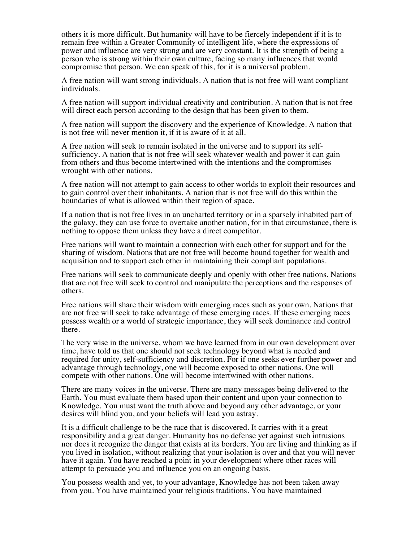others it is more difficult. But humanity will have to be fiercely independent if it is to remain free within a Greater Community of intelligent life, where the expressions of power and influence are very strong and are very constant. It is the strength of being a person who is strong within their own culture, facing so many influences that would compromise that person. We can speak of this, for it is a universal problem.

A free nation will want strong individuals. A nation that is not free will want compliant individuals.

A free nation will support individual creativity and contribution. A nation that is not free will direct each person according to the design that has been given to them.

A free nation will support the discovery and the experience of Knowledge. A nation that is not free will never mention it, if it is aware of it at all.

A free nation will seek to remain isolated in the universe and to support its selfsufficiency. A nation that is not free will seek whatever wealth and power it can gain from others and thus become intertwined with the intentions and the compromises wrought with other nations.

A free nation will not attempt to gain access to other worlds to exploit their resources and to gain control over their inhabitants. A nation that is not free will do this within the boundaries of what is allowed within their region of space.

If a nation that is not free lives in an uncharted territory or in a sparsely inhabited part of the galaxy, they can use force to overtake another nation, for in that circumstance, there is nothing to oppose them unless they have a direct competitor.

Free nations will want to maintain a connection with each other for support and for the sharing of wisdom. Nations that are not free will become bound together for wealth and acquisition and to support each other in maintaining their compliant populations.

Free nations will seek to communicate deeply and openly with other free nations. Nations that are not free will seek to control and manipulate the perceptions and the responses of others.

Free nations will share their wisdom with emerging races such as your own. Nations that are not free will seek to take advantage of these emerging races. If these emerging races possess wealth or a world of strategic importance, they will seek dominance and control there.

The very wise in the universe, whom we have learned from in our own development over time, have told us that one should not seek technology beyond what is needed and required for unity, self-sufficiency and discretion. For if one seeks ever further power and advantage through technology, one will become exposed to other nations. One will compete with other nations. One will become intertwined with other nations.

There are many voices in the universe. There are many messages being delivered to the Earth. You must evaluate them based upon their content and upon your connection to Knowledge. You must want the truth above and beyond any other advantage, or your desires will blind you, and your beliefs will lead you astray.

It is a difficult challenge to be the race that is discovered. It carries with it a great responsibility and a great danger. Humanity has no defense yet against such intrusions nor does it recognize the danger that exists at its borders. You are living and thinking as if you lived in isolation, without realizing that your isolation is over and that you will never have it again. You have reached a point in your development where other races will attempt to persuade you and influence you on an ongoing basis.

You possess wealth and yet, to your advantage, Knowledge has not been taken away from you. You have maintained your religious traditions. You have maintained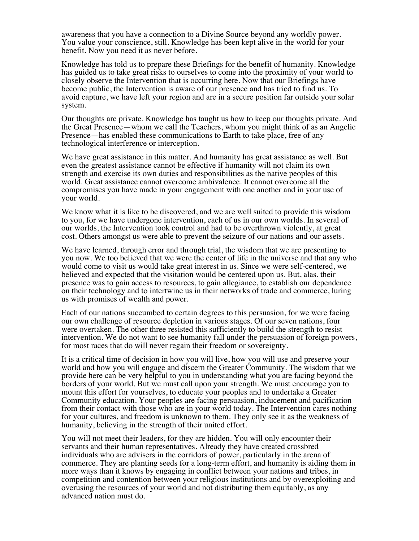awareness that you have a connection to a Divine Source beyond any worldly power. You value your conscience, still. Knowledge has been kept alive in the world for your benefit. Now you need it as never before.

Knowledge has told us to prepare these Briefings for the benefit of humanity. Knowledge has guided us to take great risks to ourselves to come into the proximity of your world to closely observe the Intervention that is occurring here. Now that our Briefings have become public, the Intervention is aware of our presence and has tried to find us. To avoid capture, we have left your region and are in a secure position far outside your solar system.

Our thoughts are private. Knowledge has taught us how to keep our thoughts private. And the Great Presence—whom we call the Teachers, whom you might think of as an Angelic Presence—has enabled these communications to Earth to take place, free of any technological interference or interception.

We have great assistance in this matter. And humanity has great assistance as well. But even the greatest assistance cannot be effective if humanity will not claim its own strength and exercise its own duties and responsibilities as the native peoples of this world. Great assistance cannot overcome ambivalence. It cannot overcome all the compromises you have made in your engagement with one another and in your use of your world.

We know what it is like to be discovered, and we are well suited to provide this wisdom to you, for we have undergone intervention, each of us in our own worlds. In several of our worlds, the Intervention took control and had to be overthrown violently, at great cost. Others amongst us were able to prevent the seizure of our nations and our assets.

We have learned, through error and through trial, the wisdom that we are presenting to you now. We too believed that we were the center of life in the universe and that any who would come to visit us would take great interest in us. Since we were self-centered, we believed and expected that the visitation would be centered upon us. But, alas, their presence was to gain access to resources, to gain allegiance, to establish our dependence on their technology and to intertwine us in their networks of trade and commerce, luring us with promises of wealth and power.

Each of our nations succumbed to certain degrees to this persuasion, for we were facing our own challenge of resource depletion in various stages. Of our seven nations, four were overtaken. The other three resisted this sufficiently to build the strength to resist intervention. We do not want to see humanity fall under the persuasion of foreign powers, for most races that do will never regain their freedom or sovereignty.

It is a critical time of decision in how you will live, how you will use and preserve your world and how you will engage and discern the Greater Community. The wisdom that we provide here can be very helpful to you in understanding what you are facing beyond the borders of your world. But we must call upon your strength. We must encourage you to mount this effort for yourselves, to educate your peoples and to undertake a Greater Community education. Your peoples are facing persuasion, inducement and pacification from their contact with those who are in your world today. The Intervention cares nothing for your cultures, and freedom is unknown to them. They only see it as the weakness of humanity, believing in the strength of their united effort.

You will not meet their leaders, for they are hidden. You will only encounter their servants and their human representatives. Already they have created crossbred individuals who are advisers in the corridors of power, particularly in the arena of commerce. They are planting seeds for a long-term effort, and humanity is aiding them in more ways than it knows by engaging in conflict between your nations and tribes, in competition and contention between your religious institutions and by overexploiting and overusing the resources of your world and not distributing them equitably, as any advanced nation must do.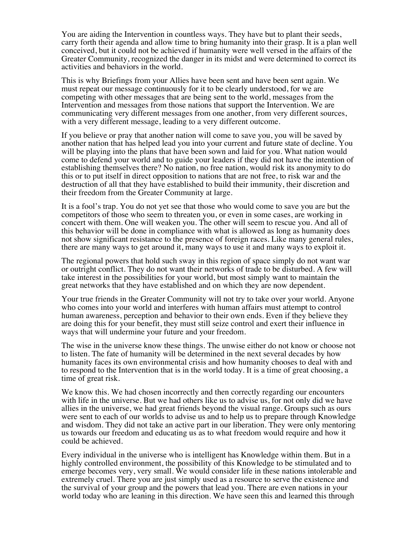You are aiding the Intervention in countless ways. They have but to plant their seeds, carry forth their agenda and allow time to bring humanity into their grasp. It is a plan well conceived, but it could not be achieved if humanity were well versed in the affairs of the Greater Community, recognized the danger in its midst and were determined to correct its activities and behaviors in the world.

This is why Briefings from your Allies have been sent and have been sent again. We must repeat our message continuously for it to be clearly understood, for we are competing with other messages that are being sent to the world, messages from the Intervention and messages from those nations that support the Intervention. We are communicating very different messages from one another, from very different sources, with a very different message, leading to a very different outcome.

If you believe or pray that another nation will come to save you, you will be saved by another nation that has helped lead you into your current and future state of decline. You will be playing into the plans that have been sown and laid for you. What nation would come to defend your world and to guide your leaders if they did not have the intention of establishing themselves there? No nation, no free nation, would risk its anonymity to do this or to put itself in direct opposition to nations that are not free, to risk war and the destruction of all that they have established to build their immunity, their discretion and their freedom from the Greater Community at large.

It is a fool's trap. You do not yet see that those who would come to save you are but the competitors of those who seem to threaten you, or even in some cases, are working in concert with them. One will weaken you. The other will seem to rescue you. And all of this behavior will be done in compliance with what is allowed as long as humanity does not show significant resistance to the presence of foreign races. Like many general rules, there are many ways to get around it, many ways to use it and many ways to exploit it.

The regional powers that hold such sway in this region of space simply do not want war or outright conflict. They do not want their networks of trade to be disturbed. A few will take interest in the possibilities for your world, but most simply want to maintain the great networks that they have established and on which they are now dependent.

Your true friends in the Greater Community will not try to take over your world. Anyone who comes into your world and interferes with human affairs must attempt to control human awareness, perception and behavior to their own ends. Even if they believe they are doing this for your benefit, they must still seize control and exert their influence in ways that will undermine your future and your freedom.

The wise in the universe know these things. The unwise either do not know or choose not to listen. The fate of humanity will be determined in the next several decades by how humanity faces its own environmental crisis and how humanity chooses to deal with and to respond to the Intervention that is in the world today. It is a time of great choosing, a time of great risk.

We know this. We had chosen incorrectly and then correctly regarding our encounters with life in the universe. But we had others like us to advise us, for not only did we have allies in the universe, we had great friends beyond the visual range. Groups such as ours were sent to each of our worlds to advise us and to help us to prepare through Knowledge and wisdom. They did not take an active part in our liberation. They were only mentoring us towards our freedom and educating us as to what freedom would require and how it could be achieved.

Every individual in the universe who is intelligent has Knowledge within them. But in a highly controlled environment, the possibility of this Knowledge to be stimulated and to emerge becomes very, very small. We would consider life in these nations intolerable and extremely cruel. There you are just simply used as a resource to serve the existence and the survival of your group and the powers that lead you. There are even nations in your world today who are leaning in this direction. We have seen this and learned this through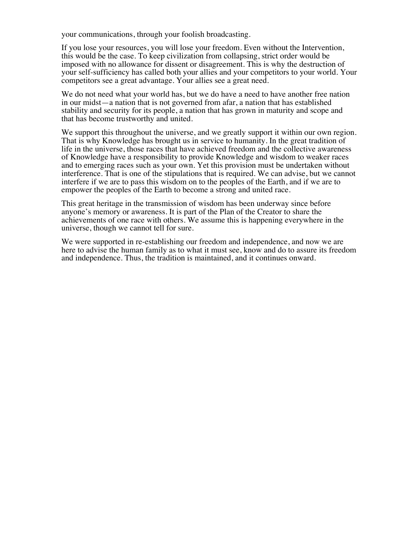your communications, through your foolish broadcasting.

If you lose your resources, you will lose your freedom. Even without the Intervention, this would be the case. To keep civilization from collapsing, strict order would be imposed with no allowance for dissent or disagreement. This is why the destruction of your self-sufficiency has called both your allies and your competitors to your world. Your competitors see a great advantage. Your allies see a great need.

We do not need what your world has, but we do have a need to have another free nation in our midst—a nation that is not governed from afar, a nation that has established stability and security for its people, a nation that has grown in maturity and scope and that has become trustworthy and united.

We support this throughout the universe, and we greatly support it within our own region. That is why Knowledge has brought us in service to humanity. In the great tradition of life in the universe, those races that have achieved freedom and the collective awareness of Knowledge have a responsibility to provide Knowledge and wisdom to weaker races and to emerging races such as your own. Yet this provision must be undertaken without interference. That is one of the stipulations that is required. We can advise, but we cannot interfere if we are to pass this wisdom on to the peoples of the Earth, and if we are to empower the peoples of the Earth to become a strong and united race.

This great heritage in the transmission of wisdom has been underway since before anyone's memory or awareness. It is part of the Plan of the Creator to share the achievements of one race with others. We assume this is happening everywhere in the universe, though we cannot tell for sure.

We were supported in re-establishing our freedom and independence, and now we are here to advise the human family as to what it must see, know and do to assure its freedom and independence. Thus, the tradition is maintained, and it continues onward.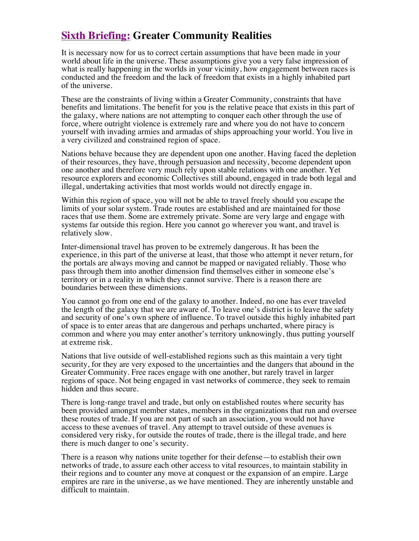## <span id="page-41-0"></span>**Sixth Briefing: [Greater Community Realities](#page-4-0)**

It is necessary now for us to correct certain assumptions that have been made in your world about life in the universe. These assumptions give you a very false impression of what is really happening in the worlds in your vicinity, how engagement between races is conducted and the freedom and the lack of freedom that exists in a highly inhabited part of the universe.

These are the constraints of living within a Greater Community, constraints that have benefits and limitations. The benefit for you is the relative peace that exists in this part of the galaxy, where nations are not attempting to conquer each other through the use of force, where outright violence is extremely rare and where you do not have to concern yourself with invading armies and armadas of ships approaching your world. You live in a very civilized and constrained region of space.

Nations behave because they are dependent upon one another. Having faced the depletion of their resources, they have, through persuasion and necessity, become dependent upon one another and therefore very much rely upon stable relations with one another. Yet resource explorers and economic Collectives still abound, engaged in trade both legal and illegal, undertaking activities that most worlds would not directly engage in.

Within this region of space, you will not be able to travel freely should you escape the limits of your solar system. Trade routes are established and are maintained for those races that use them. Some are extremely private. Some are very large and engage with systems far outside this region. Here you cannot go wherever you want, and travel is relatively slow.

Inter-dimensional travel has proven to be extremely dangerous. It has been the experience, in this part of the universe at least, that those who attempt it never return, for the portals are always moving and cannot be mapped or navigated reliably. Those who pass through them into another dimension find themselves either in someone else's territory or in a reality in which they cannot survive. There is a reason there are boundaries between these dimensions.

You cannot go from one end of the galaxy to another. Indeed, no one has ever traveled the length of the galaxy that we are aware of. To leave one's district is to leave the safety and security of one's own sphere of influence. To travel outside this highly inhabited part of space is to enter areas that are dangerous and perhaps uncharted, where piracy is common and where you may enter another's territory unknowingly, thus putting yourself at extreme risk.

Nations that live outside of well-established regions such as this maintain a very tight security, for they are very exposed to the uncertainties and the dangers that abound in the Greater Community. Free races engage with one another, but rarely travel in larger regions of space. Not being engaged in vast networks of commerce, they seek to remain hidden and thus secure.

There is long-range travel and trade, but only on established routes where security has been provided amongst member states, members in the organizations that run and oversee these routes of trade. If you are not part of such an association, you would not have access to these avenues of travel. Any attempt to travel outside of these avenues is considered very risky, for outside the routes of trade, there is the illegal trade, and here there is much danger to one's security.

There is a reason why nations unite together for their defense—to establish their own networks of trade, to assure each other access to vital resources, to maintain stability in their regions and to counter any move at conquest or the expansion of an empire. Large empires are rare in the universe, as we have mentioned. They are inherently unstable and difficult to maintain.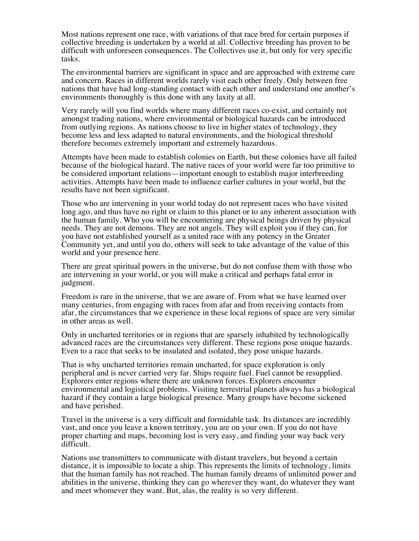Most nations represent one race, with variations of that race bred for certain purposes if collective breeding is undertaken by a world at all. Collective breeding has proven to be difficult with unforeseen consequences. The Collectives use it, but only for very specific tasks.

The environmental barriers are significant in space and are approached with extreme care and concern. Races in different worlds rarely visit each other freely. Only between free nations that have had long-standing contact with each other and understand one another's environments thoroughly is this done with any laxity at all.

Very rarely will you find worlds where many different races co-exist, and certainly not amongst trading nations, where environmental or biological hazards can be introduced from outlying regions. As nations choose to live in higher states of technology, they become less and less adapted to natural environments, and the biological threshold therefore becomes extremely important and extremely hazardous.

Attempts have been made to establish colonies on Earth, but these colonies have all failed because of the biological hazard. The native races of your world were far too primitive to be considered important relations—important enough to establish major interbreeding activities. Attempts have been made to influence earlier cultures in your world, but the results have not been significant.

Those who are intervening in your world today do not represent races who have visited long ago, and thus have no right or claim to this planet or to any inherent association with the human family. Who you will be encountering are physical beings driven by physical needs. They are not demons. They are not angels. They will exploit you if they can, for you have not established yourself as a united race with any potency in the Greater Community yet, and until you do, others will seek to take advantage of the value of this world and your presence here.

There are great spiritual powers in the universe, but do not confuse them with those who are intervening in your world, or you will make a critical and perhaps fatal error in judgment.

Freedom is rare in the universe, that we are aware of. From what we have learned over many centuries, from engaging with races from afar and from receiving contacts from afar, the circumstances that we experience in these local regions of space are very similar in other areas as well.

Only in uncharted territories or in regions that are sparsely inhabited by technologically advanced races are the circumstances very different. These regions pose unique hazards. Even to a race that seeks to be insulated and isolated, they pose unique hazards.

That is why uncharted territories remain uncharted, for space exploration is only peripheral and is never carried very far. Ships require fuel. Fuel cannot be resupplied. Explorers enter regions where there are unknown forces. Explorers encounter environmental and logistical problems. Visiting terrestrial planets always has a biological hazard if they contain a large biological presence. Many groups have become sickened and have perished.

Travel in the universe is a very difficult and formidable task. Its distances are incredibly vast, and once you leave a known territory, you are on your own. If you do not have proper charting and maps, becoming lost is very easy, and finding your way back very difficult.

Nations use transmitters to communicate with distant travelers, but beyond a certain distance, it is impossible to locate a ship. This represents the limits of technology, limits that the human family has not reached. The human family dreams of unlimited power and abilities in the universe, thinking they can go wherever they want, do whatever they want and meet whomever they want. But, alas, the reality is so very different.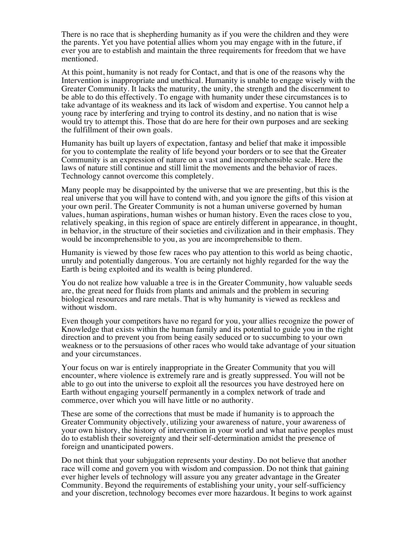There is no race that is shepherding humanity as if you were the children and they were the parents. Yet you have potential allies whom you may engage with in the future, if ever you are to establish and maintain the three requirements for freedom that we have mentioned.

At this point, humanity is not ready for Contact, and that is one of the reasons why the Intervention is inappropriate and unethical. Humanity is unable to engage wisely with the Greater Community. It lacks the maturity, the unity, the strength and the discernment to be able to do this effectively. To engage with humanity under these circumstances is to take advantage of its weakness and its lack of wisdom and expertise. You cannot help a young race by interfering and trying to control its destiny, and no nation that is wise would try to attempt this. Those that do are here for their own purposes and are seeking the fulfillment of their own goals.

Humanity has built up layers of expectation, fantasy and belief that make it impossible for you to contemplate the reality of life beyond your borders or to see that the Greater Community is an expression of nature on a vast and incomprehensible scale. Here the laws of nature still continue and still limit the movements and the behavior of races. Technology cannot overcome this completely.

Many people may be disappointed by the universe that we are presenting, but this is the real universe that you will have to contend with, and you ignore the gifts of this vision at your own peril. The Greater Community is not a human universe governed by human values, human aspirations, human wishes or human history. Even the races close to you, relatively speaking, in this region of space are entirely different in appearance, in thought, in behavior, in the structure of their societies and civilization and in their emphasis. They would be incomprehensible to you, as you are incomprehensible to them.

Humanity is viewed by those few races who pay attention to this world as being chaotic, unruly and potentially dangerous. You are certainly not highly regarded for the way the Earth is being exploited and its wealth is being plundered.

You do not realize how valuable a tree is in the Greater Community, how valuable seeds are, the great need for fluids from plants and animals and the problem in securing biological resources and rare metals. That is why humanity is viewed as reckless and without wisdom.

Even though your competitors have no regard for you, your allies recognize the power of Knowledge that exists within the human family and its potential to guide you in the right direction and to prevent you from being easily seduced or to succumbing to your own weakness or to the persuasions of other races who would take advantage of your situation and your circumstances.

Your focus on war is entirely inappropriate in the Greater Community that you will encounter, where violence is extremely rare and is greatly suppressed. You will not be able to go out into the universe to exploit all the resources you have destroyed here on Earth without engaging yourself permanently in a complex network of trade and commerce, over which you will have little or no authority.

These are some of the corrections that must be made if humanity is to approach the Greater Community objectively, utilizing your awareness of nature, your awareness of your own history, the history of intervention in your world and what native peoples must do to establish their sovereignty and their self-determination amidst the presence of foreign and unanticipated powers.

Do not think that your subjugation represents your destiny. Do not believe that another race will come and govern you with wisdom and compassion. Do not think that gaining ever higher levels of technology will assure you any greater advantage in the Greater Community. Beyond the requirements of establishing your unity, your self-sufficiency and your discretion, technology becomes ever more hazardous. It begins to work against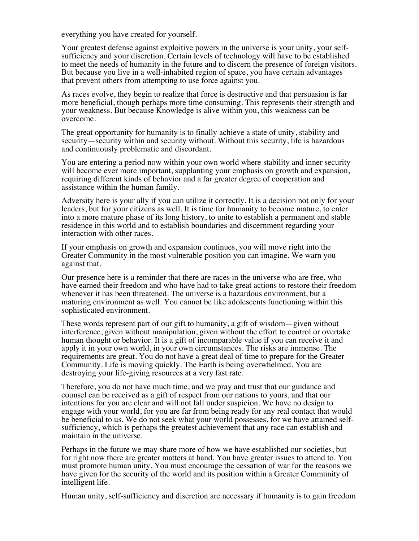everything you have created for yourself.

Your greatest defense against exploitive powers in the universe is your unity, your selfsufficiency and your discretion. Certain levels of technology will have to be established to meet the needs of humanity in the future and to discern the presence of foreign visitors. But because you live in a well-inhabited region of space, you have certain advantages that prevent others from attempting to use force against you.

As races evolve, they begin to realize that force is destructive and that persuasion is far more beneficial, though perhaps more time consuming. This represents their strength and your weakness. But because Knowledge is alive within you, this weakness can be overcome.

The great opportunity for humanity is to finally achieve a state of unity, stability and security—security within and security without. Without this security, life is hazardous and continuously problematic and discordant.

You are entering a period now within your own world where stability and inner security will become ever more important, supplanting your emphasis on growth and expansion, requiring different kinds of behavior and a far greater degree of cooperation and assistance within the human family.

Adversity here is your ally if you can utilize it correctly. It is a decision not only for your leaders, but for your citizens as well. It is time for humanity to become mature, to enter into a more mature phase of its long history, to unite to establish a permanent and stable residence in this world and to establish boundaries and discernment regarding your interaction with other races.

If your emphasis on growth and expansion continues, you will move right into the Greater Community in the most vulnerable position you can imagine. We warn you against that.

Our presence here is a reminder that there are races in the universe who are free, who have earned their freedom and who have had to take great actions to restore their freedom whenever it has been threatened. The universe is a hazardous environment, but a maturing environment as well. You cannot be like adolescents functioning within this sophisticated environment.

These words represent part of our gift to humanity, a gift of wisdom—given without interference, given without manipulation, given without the effort to control or overtake human thought or behavior. It is a gift of incomparable value if you can receive it and apply it in your own world, in your own circumstances. The risks are immense. The requirements are great. You do not have a great deal of time to prepare for the Greater Community. Life is moving quickly. The Earth is being overwhelmed. You are destroying your life-giving resources at a very fast rate.

Therefore, you do not have much time, and we pray and trust that our guidance and counsel can be received as a gift of respect from our nations to yours, and that our intentions for you are clear and will not fall under suspicion. We have no design to engage with your world, for you are far from being ready for any real contact that would be beneficial to us. We do not seek what your world possesses, for we have attained selfsufficiency, which is perhaps the greatest achievement that any race can establish and maintain in the universe.

Perhaps in the future we may share more of how we have established our societies, but for right now there are greater matters at hand. You have greater issues to attend to. You must promote human unity. You must encourage the cessation of war for the reasons we have given for the security of the world and its position within a Greater Community of intelligent life.

Human unity, self-sufficiency and discretion are necessary if humanity is to gain freedom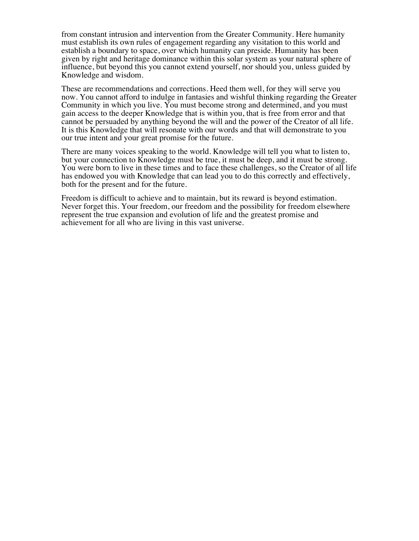<span id="page-45-0"></span>from constant intrusion and intervention from the Greater Community. Here humanity must establish its own rules of engagement regarding any visitation to this world and establish a boundary to space, over which humanity can preside. Humanity has been given by right and heritage dominance within this solar system as your natural sphere of influence, but beyond this you cannot extend yourself, nor should you, unless guided by Knowledge and wisdom.

These are recommendations and corrections. Heed them well, for they will serve you now. You cannot afford to indulge in fantasies and wishful thinking regarding the Greater Community in which you live. You must become strong and determined, and you must gain access to the deeper Knowledge that is within you, that is free from error and that cannot be persuaded by anything beyond the will and the power of the Creator of all life. It is this Knowledge that will resonate with our words and that will demonstrate to you our true intent and your great promise for the future.

There are many voices speaking to the world. Knowledge will tell you what to listen to, but your connection to Knowledge must be true, it must be deep, and it must be strong. You were born to live in these times and to face these challenges, so the Creator of all life has endowed you with Knowledge that can lead you to do this correctly and effectively, both for the present and for the future.

Freedom is difficult to achieve and to maintain, but its reward is beyond estimation. Never forget this. Your freedom, our freedom and the possibility for freedom elsewhere represent the true expansion and evolution of life and the greatest promise and achievement for all who are living in this vast universe.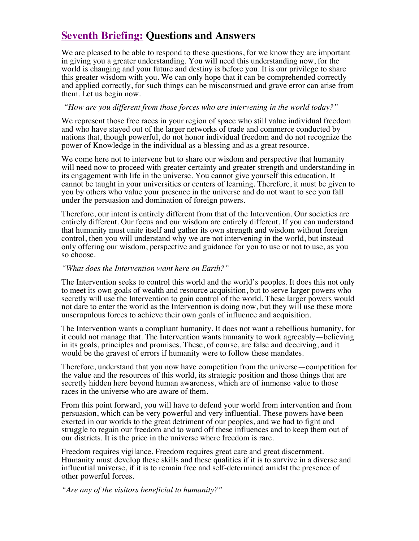## <span id="page-46-0"></span>**[Seventh Briefing:](#page-4-0) Questions and Answers**

We are pleased to be able to respond to these questions, for we know they are important in giving you a greater understanding. You will need this understanding now, for the world is changing and your future and destiny is before you. It is our privilege to share this greater wisdom with you. We can only hope that it can be comprehended correctly and applied correctly, for such things can be misconstrued and grave error can arise from them. Let us begin now.

#### *"How are you different from those forces who are intervening in the world today?"*

We represent those free races in your region of space who still value individual freedom and who have stayed out of the larger networks of trade and commerce conducted by nations that, though powerful, do not honor individual freedom and do not recognize the power of Knowledge in the individual as a blessing and as a great resource.

We come here not to intervene but to share our wisdom and perspective that humanity will need now to proceed with greater certainty and greater strength and understanding in its engagement with life in the universe. You cannot give yourself this education. It cannot be taught in your universities or centers of learning. Therefore, it must be given to you by others who value your presence in the universe and do not want to see you fall under the persuasion and domination of foreign powers.

Therefore, our intent is entirely different from that of the Intervention. Our societies are entirely different. Our focus and our wisdom are entirely different. If you can understand that humanity must unite itself and gather its own strength and wisdom without foreign control, then you will understand why we are not intervening in the world, but instead only offering our wisdom, perspective and guidance for you to use or not to use, as you so choose.

#### *"What does the Intervention want here on Earth?"*

The Intervention seeks to control this world and the world's peoples. It does this not only to meet its own goals of wealth and resource acquisition, but to serve larger powers who secretly will use the Intervention to gain control of the world. These larger powers would not dare to enter the world as the Intervention is doing now, but they will use these more unscrupulous forces to achieve their own goals of influence and acquisition.

The Intervention wants a compliant humanity. It does not want a rebellious humanity, for it could not manage that. The Intervention wants humanity to work agreeably—believing in its goals, principles and promises. These, of course, are false and deceiving, and it would be the gravest of errors if humanity were to follow these mandates.

Therefore, understand that you now have competition from the universe—competition for the value and the resources of this world, its strategic position and those things that are secretly hidden here beyond human awareness, which are of immense value to those races in the universe who are aware of them.

From this point forward, you will have to defend your world from intervention and from persuasion, which can be very powerful and very influential. These powers have been exerted in our worlds to the great detriment of our peoples, and we had to fight and struggle to regain our freedom and to ward off these influences and to keep them out of our districts. It is the price in the universe where freedom is rare.

Freedom requires vigilance. Freedom requires great care and great discernment. Humanity must develop these skills and these qualities if it is to survive in a diverse and influential universe, if it is to remain free and self-determined amidst the presence of other powerful forces.

*"Are any of the visitors beneficial to humanity?"*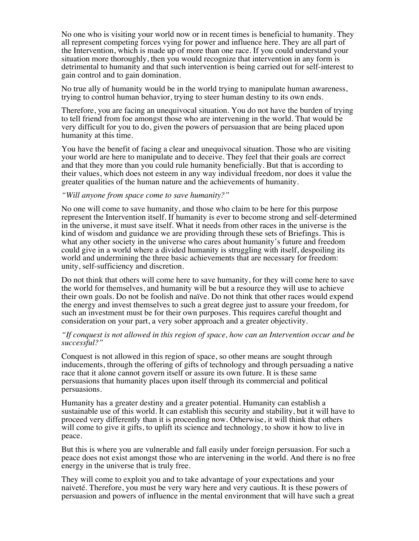No one who is visiting your world now or in recent times is beneficial to humanity. They all represent competing forces vying for power and influence here. They are all part of the Intervention, which is made up of more than one race. If you could understand your situation more thoroughly, then you would recognize that intervention in any form is detrimental to humanity and that such intervention is being carried out for self-interest to gain control and to gain domination.

No true ally of humanity would be in the world trying to manipulate human awareness, trying to control human behavior, trying to steer human destiny to its own ends.

Therefore, you are facing an unequivocal situation. You do not have the burden of trying to tell friend from foe amongst those who are intervening in the world. That would be very difficult for you to do, given the powers of persuasion that are being placed upon humanity at this time.

You have the benefit of facing a clear and unequivocal situation. Those who are visiting your world are here to manipulate and to deceive. They feel that their goals are correct and that they more than you could rule humanity beneficially. But that is according to their values, which does not esteem in any way individual freedom, nor does it value the greater qualities of the human nature and the achievements of humanity.

#### *"Will anyone from space come to save humanity?"*

No one will come to save humanity, and those who claim to be here for this purpose represent the Intervention itself. If humanity is ever to become strong and self-determined in the universe, it must save itself. What it needs from other races in the universe is the kind of wisdom and guidance we are providing through these sets of Briefings. This is what any other society in the universe who cares about humanity's future and freedom could give in a world where a divided humanity is struggling with itself, despoiling its world and undermining the three basic achievements that are necessary for freedom: unity, self-sufficiency and discretion.

Do not think that others will come here to save humanity, for they will come here to save the world for themselves, and humanity will be but a resource they will use to achieve their own goals. Do not be foolish and naïve. Do not think that other races would expend the energy and invest themselves to such a great degree just to assure your freedom, for such an investment must be for their own purposes. This requires careful thought and consideration on your part, a very sober approach and a greater objectivity.

#### *"If conquest is not allowed in this region of space, how can an Intervention occur and be successful?"*

Conquest is not allowed in this region of space, so other means are sought through inducements, through the offering of gifts of technology and through persuading a native race that it alone cannot govern itself or assure its own future. It is these same persuasions that humanity places upon itself through its commercial and political persuasions.

Humanity has a greater destiny and a greater potential. Humanity can establish a sustainable use of this world. It can establish this security and stability, but it will have to proceed very differently than it is proceeding now. Otherwise, it will think that others will come to give it gifts, to uplift its science and technology, to show it how to live in peace.

But this is where you are vulnerable and fall easily under foreign persuasion. For such a peace does not exist amongst those who are intervening in the world. And there is no free energy in the universe that is truly free.

They will come to exploit you and to take advantage of your expectations and your naiveté. Therefore, you must be very wary here and very cautious. It is these powers of persuasion and powers of influence in the mental environment that will have such a great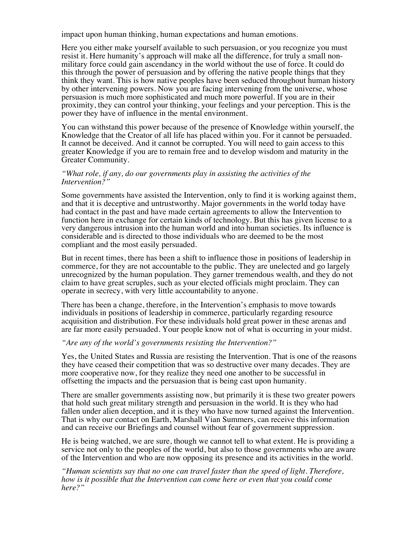impact upon human thinking, human expectations and human emotions.

Here you either make yourself available to such persuasion, or you recognize you must resist it. Here humanity's approach will make all the difference, for truly a small nonmilitary force could gain ascendancy in the world without the use of force. It could do this through the power of persuasion and by offering the native people things that they think they want. This is how native peoples have been seduced throughout human history by other intervening powers. Now you are facing intervening from the universe, whose persuasion is much more sophisticated and much more powerful. If you are in their proximity, they can control your thinking, your feelings and your perception. This is the power they have of influence in the mental environment.

You can withstand this power because of the presence of Knowledge within yourself, the Knowledge that the Creator of all life has placed within you. For it cannot be persuaded. It cannot be deceived. And it cannot be corrupted. You will need to gain access to this greater Knowledge if you are to remain free and to develop wisdom and maturity in the Greater Community.

#### *"What role, if any, do our governments play in assisting the activities of the Intervention?"*

Some governments have assisted the Intervention, only to find it is working against them, and that it is deceptive and untrustworthy. Major governments in the world today have had contact in the past and have made certain agreements to allow the Intervention to function here in exchange for certain kinds of technology. But this has given license to a very dangerous intrusion into the human world and into human societies. Its influence is considerable and is directed to those individuals who are deemed to be the most compliant and the most easily persuaded.

But in recent times, there has been a shift to influence those in positions of leadership in commerce, for they are not accountable to the public. They are unelected and go largely unrecognized by the human population. They garner tremendous wealth, and they do not claim to have great scruples, such as your elected officials might proclaim. They can operate in secrecy, with very little accountability to anyone.

There has been a change, therefore, in the Intervention's emphasis to move towards individuals in positions of leadership in commerce, particularly regarding resource acquisition and distribution. For these individuals hold great power in these arenas and are far more easily persuaded. Your people know not of what is occurring in your midst.

#### *"Are any of the world's governments resisting the Intervention?"*

Yes, the United States and Russia are resisting the Intervention. That is one of the reasons they have ceased their competition that was so destructive over many decades. They are more cooperative now, for they realize they need one another to be successful in offsetting the impacts and the persuasion that is being cast upon humanity.

There are smaller governments assisting now, but primarily it is these two greater powers that hold such great military strength and persuasion in the world. It is they who had fallen under alien deception, and it is they who have now turned against the Intervention. That is why our contact on Earth, Marshall Vian Summers, can receive this information and can receive our Briefings and counsel without fear of government suppression.

He is being watched, we are sure, though we cannot tell to what extent. He is providing a service not only to the peoples of the world, but also to those governments who are aware of the Intervention and who are now opposing its presence and its activities in the world.

*"Human scientists say that no one can travel faster than the speed of light. Therefore, how is it possible that the Intervention can come here or even that you could come here?"*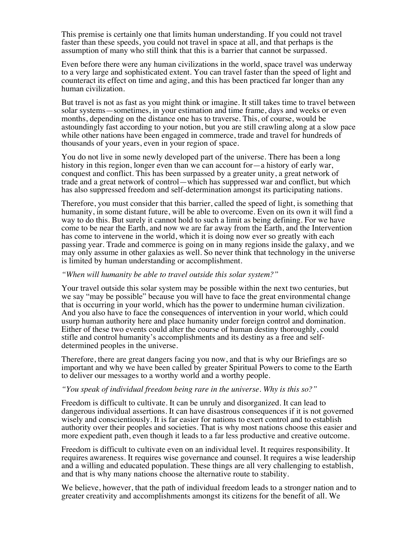This premise is certainly one that limits human understanding. If you could not travel faster than these speeds, you could not travel in space at all, and that perhaps is the assumption of many who still think that this is a barrier that cannot be surpassed.

Even before there were any human civilizations in the world, space travel was underway to a very large and sophisticated extent. You can travel faster than the speed of light and counteract its effect on time and aging, and this has been practiced far longer than any human civilization.

But travel is not as fast as you might think or imagine. It still takes time to travel between solar systems—sometimes, in your estimation and time frame, days and weeks or even months, depending on the distance one has to traverse. This, of course, would be astoundingly fast according to your notion, but you are still crawling along at a slow pace while other nations have been engaged in commerce, trade and travel for hundreds of thousands of your years, even in your region of space.

You do not live in some newly developed part of the universe. There has been a long history in this region, longer even than we can account for—a history of early war, conquest and conflict. This has been surpassed by a greater unity, a great network of trade and a great network of control—which has suppressed war and conflict, but which has also suppressed freedom and self-determination amongst its participating nations.

Therefore, you must consider that this barrier, called the speed of light, is something that humanity, in some distant future, will be able to overcome. Even on its own it will find a way to do this. But surely it cannot hold to such a limit as being defining. For we have come to be near the Earth, and now we are far away from the Earth, and the Intervention has come to intervene in the world, which it is doing now ever so greatly with each passing year. Trade and commerce is going on in many regions inside the galaxy, and we may only assume in other galaxies as well. So never think that technology in the universe is limited by human understanding or accomplishment.

#### *"When will humanity be able to travel outside this solar system?"*

Your travel outside this solar system may be possible within the next two centuries, but we say "may be possible" because you will have to face the great environmental change that is occurring in your world, which has the power to undermine human civilization. And you also have to face the consequences of intervention in your world, which could usurp human authority here and place humanity under foreign control and domination. Either of these two events could alter the course of human destiny thoroughly, could stifle and control humanity's accomplishments and its destiny as a free and selfdetermined peoples in the universe.

Therefore, there are great dangers facing you now, and that is why our Briefings are so important and why we have been called by greater Spiritual Powers to come to the Earth to deliver our messages to a worthy world and a worthy people.

#### *"You speak of individual freedom being rare in the universe. Why is this so?"*

Freedom is difficult to cultivate. It can be unruly and disorganized. It can lead to dangerous individual assertions. It can have disastrous consequences if it is not governed wisely and conscientiously. It is far easier for nations to exert control and to establish authority over their peoples and societies. That is why most nations choose this easier and more expedient path, even though it leads to a far less productive and creative outcome.

Freedom is difficult to cultivate even on an individual level. It requires responsibility. It requires awareness. It requires wise governance and counsel. It requires a wise leadership and a willing and educated population. These things are all very challenging to establish, and that is why many nations choose the alternative route to stability.

We believe, however, that the path of individual freedom leads to a stronger nation and to greater creativity and accomplishments amongst its citizens for the benefit of all. We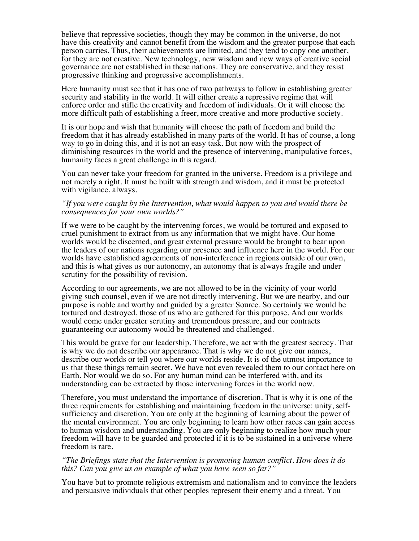believe that repressive societies, though they may be common in the universe, do not have this creativity and cannot benefit from the wisdom and the greater purpose that each person carries. Thus, their achievements are limited, and they tend to copy one another, for they are not creative. New technology, new wisdom and new ways of creative social governance are not established in these nations. They are conservative, and they resist progressive thinking and progressive accomplishments.

Here humanity must see that it has one of two pathways to follow in establishing greater security and stability in the world. It will either create a repressive regime that will enforce order and stifle the creativity and freedom of individuals. Or it will choose the more difficult path of establishing a freer, more creative and more productive society.

It is our hope and wish that humanity will choose the path of freedom and build the freedom that it has already established in many parts of the world. It has of course, a long way to go in doing this, and it is not an easy task. But now with the prospect of diminishing resources in the world and the presence of intervening, manipulative forces, humanity faces a great challenge in this regard.

You can never take your freedom for granted in the universe. Freedom is a privilege and not merely a right. It must be built with strength and wisdom, and it must be protected with vigilance, always.

#### *"If you were caught by the Intervention, what would happen to you and would there be consequences for your own worlds?"*

If we were to be caught by the intervening forces, we would be tortured and exposed to cruel punishment to extract from us any information that we might have. Our home worlds would be discerned, and great external pressure would be brought to bear upon the leaders of our nations regarding our presence and influence here in the world. For our worlds have established agreements of non-interference in regions outside of our own, and this is what gives us our autonomy, an autonomy that is always fragile and under scrutiny for the possibility of revision.

According to our agreements, we are not allowed to be in the vicinity of your world giving such counsel, even if we are not directly intervening. But we are nearby, and our purpose is noble and worthy and guided by a greater Source. So certainly we would be tortured and destroyed, those of us who are gathered for this purpose. And our worlds would come under greater scrutiny and tremendous pressure, and our contracts guaranteeing our autonomy would be threatened and challenged.

This would be grave for our leadership. Therefore, we act with the greatest secrecy. That is why we do not describe our appearance. That is why we do not give our names, describe our worlds or tell you where our worlds reside. It is of the utmost importance to us that these things remain secret. We have not even revealed them to our contact here on Earth. Nor would we do so. For any human mind can be interfered with, and its understanding can be extracted by those intervening forces in the world now.

Therefore, you must understand the importance of discretion. That is why it is one of the three requirements for establishing and maintaining freedom in the universe: unity, self-<br>sufficiency and discretion. You are only at the beginning of learning about the power of the mental environment. You are only beginning to learn how other races can gain access to human wisdom and understanding. You are only beginning to realize how much your freedom will have to be guarded and protected if it is to be sustained in a universe where freedom is rare.

#### *"The Briefings state that the Intervention is promoting human conflict. How does it do this? Can you give us an example of what you have seen so far?"*

You have but to promote religious extremism and nationalism and to convince the leaders and persuasive individuals that other peoples represent their enemy and a threat. You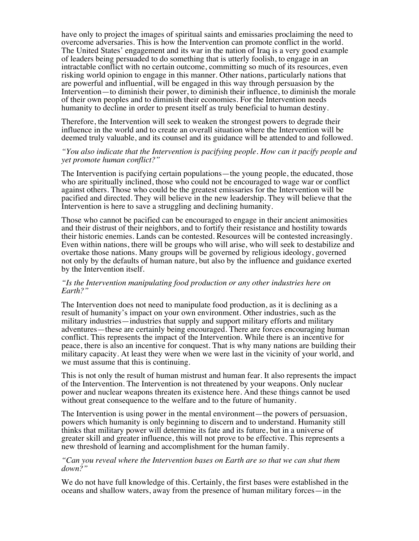have only to project the images of spiritual saints and emissaries proclaiming the need to overcome adversaries. This is how the Intervention can promote conflict in the world. The United States' engagement and its war in the nation of Iraq is a very good example of leaders being persuaded to do something that is utterly foolish, to engage in an intractable conflict with no certain outcome, committing so much of its resources, even risking world opinion to engage in this manner. Other nations, particularly nations that are powerful and influential, will be engaged in this way through persuasion by the Intervention—to diminish their power, to diminish their influence, to diminish the morale of their own peoples and to diminish their economies. For the Intervention needs humanity to decline in order to present itself as truly beneficial to human destiny.

Therefore, the Intervention will seek to weaken the strongest powers to degrade their influence in the world and to create an overall situation where the Intervention will be deemed truly valuable, and its counsel and its guidance will be attended to and followed.

#### *"You also indicate that the Intervention is pacifying people. How can it pacify people and yet promote human conflict?"*

The Intervention is pacifying certain populations—the young people, the educated, those who are spiritually inclined, those who could not be encouraged to wage war or conflict against others. Those who could be the greatest emissaries for the Intervention will be pacified and directed. They will believe in the new leadership. They will believe that the Intervention is here to save a struggling and declining humanity.

Those who cannot be pacified can be encouraged to engage in their ancient animosities and their distrust of their neighbors, and to fortify their resistance and hostility towards their historic enemies. Lands can be contested. Resources will be contested increasingly. Even within nations, there will be groups who will arise, who will seek to destabilize and overtake those nations. Many groups will be governed by religious ideology, governed not only by the defaults of human nature, but also by the influence and guidance exerted by the Intervention itself.

#### *"Is the Intervention manipulating food production or any other industries here on Earth?"*

The Intervention does not need to manipulate food production, as it is declining as a result of humanity's impact on your own environment. Other industries, such as the military industries—industries that supply and support military efforts and military adventures—these are certainly being encouraged. There are forces encouraging human conflict. This represents the impact of the Intervention. While there is an incentive for peace, there is also an incentive for conquest. That is why many nations are building their military capacity. At least they were when we were last in the vicinity of your world, and we must assume that this is continuing.

This is not only the result of human mistrust and human fear. It also represents the impact of the Intervention. The Intervention is not threatened by your weapons. Only nuclear power and nuclear weapons threaten its existence here. And these things cannot be used without great consequence to the welfare and to the future of humanity.

The Intervention is using power in the mental environment—the powers of persuasion, powers which humanity is only beginning to discern and to understand. Humanity still thinks that military power will determine its fate and its future, but in a universe of greater skill and greater influence, this will not prove to be effective. This represents a new threshold of learning and accomplishment for the human family.

#### *"Can you reveal where the Intervention bases on Earth are so that we can shut them down?"*

We do not have full knowledge of this. Certainly, the first bases were established in the oceans and shallow waters, away from the presence of human military forces—in the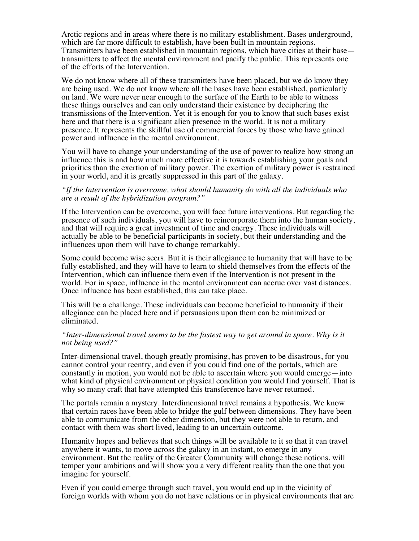Arctic regions and in areas where there is no military establishment. Bases underground, which are far more difficult to establish, have been built in mountain regions. Transmitters have been established in mountain regions, which have cities at their base— transmitters to affect the mental environment and pacify the public. This represents one of the efforts of the Intervention.

We do not know where all of these transmitters have been placed, but we do know they are being used. We do not know where all the bases have been established, particularly on land. We were never near enough to the surface of the Earth to be able to witness these things ourselves and can only understand their existence by deciphering the transmissions of the Intervention. Yet it is enough for you to know that such bases exist here and that there is a significant alien presence in the world. It is not a military presence. It represents the skillful use of commercial forces by those who have gained power and influence in the mental environment.

You will have to change your understanding of the use of power to realize how strong an influence this is and how much more effective it is towards establishing your goals and priorities than the exertion of military power. The exertion of military power is restrained in your world, and it is greatly suppressed in this part of the galaxy.

#### *"If the Intervention is overcome, what should humanity do with all the individuals who are a result of the hybridization program?"*

If the Intervention can be overcome, you will face future interventions. But regarding the presence of such individuals, you will have to reincorporate them into the human society, and that will require a great investment of time and energy. These individuals will actually be able to be beneficial participants in society, but their understanding and the influences upon them will have to change remarkably.

Some could become wise seers. But it is their allegiance to humanity that will have to be fully established, and they will have to learn to shield themselves from the effects of the Intervention, which can influence them even if the Intervention is not present in the world. For in space, influence in the mental environment can accrue over vast distances. Once influence has been established, this can take place.

This will be a challenge. These individuals can become beneficial to humanity if their allegiance can be placed here and if persuasions upon them can be minimized or eliminated.

#### *"Inter-dimensional travel seems to be the fastest way to get around in space. Why is it not being used?"*

Inter-dimensional travel, though greatly promising, has proven to be disastrous, for you cannot control your reentry, and even if you could find one of the portals, which are constantly in motion, you would not be able to ascertain where you would emerge—into what kind of physical environment or physical condition you would find yourself. That is why so many craft that have attempted this transference have never returned.

The portals remain a mystery. Interdimensional travel remains a hypothesis. We know that certain races have been able to bridge the gulf between dimensions. They have been able to communicate from the other dimension, but they were not able to return, and contact with them was short lived, leading to an uncertain outcome.

Humanity hopes and believes that such things will be available to it so that it can travel anywhere it wants, to move across the galaxy in an instant, to emerge in any environment. But the reality of the Greater Community will change these notions, will temper your ambitions and will show you a very different reality than the one that you imagine for yourself.

Even if you could emerge through such travel, you would end up in the vicinity of foreign worlds with whom you do not have relations or in physical environments that are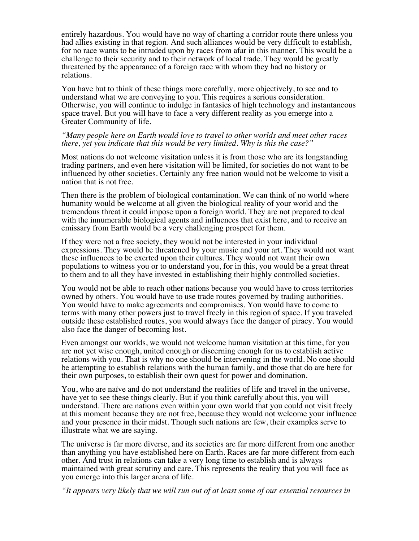entirely hazardous. You would have no way of charting a corridor route there unless you had allies existing in that region. And such alliances would be very difficult to establish, for no race wants to be intruded upon by races from afar in this manner. This would be a challenge to their security and to their network of local trade. They would be greatly threatened by the appearance of a foreign race with whom they had no history or relations.

You have but to think of these things more carefully, more objectively, to see and to understand what we are conveying to you. This requires a serious consideration. Otherwise, you will continue to indulge in fantasies of high technology and instantaneous space travel. But you will have to face a very different reality as you emerge into a Greater Community of life.

#### *"Many people here on Earth would love to travel to other worlds and meet other races there, yet you indicate that this would be very limited. Why is this the case?"*

Most nations do not welcome visitation unless it is from those who are its longstanding trading partners, and even here visitation will be limited, for societies do not want to be influenced by other societies. Certainly any free nation would not be welcome to visit a nation that is not free.

Then there is the problem of biological contamination. We can think of no world where humanity would be welcome at all given the biological reality of your world and the tremendous threat it could impose upon a foreign world. They are not prepared to deal with the innumerable biological agents and influences that exist here, and to receive an emissary from Earth would be a very challenging prospect for them.

If they were not a free society, they would not be interested in your individual expressions. They would be threatened by your music and your art. They would not want these influences to be exerted upon their cultures. They would not want their own populations to witness you or to understand you, for in this, you would be a great threat to them and to all they have invested in establishing their highly controlled societies.

You would not be able to reach other nations because you would have to cross territories owned by others. You would have to use trade routes governed by trading authorities. You would have to make agreements and compromises. You would have to come to terms with many other powers just to travel freely in this region of space. If you traveled outside these established routes, you would always face the danger of piracy. You would also face the danger of becoming lost.

Even amongst our worlds, we would not welcome human visitation at this time, for you are not yet wise enough, united enough or discerning enough for us to establish active relations with you. That is why no one should be intervening in the world. No one should be attempting to establish relations with the human family, and those that do are here for their own purposes, to establish their own quest for power and domination.

You, who are naïve and do not understand the realities of life and travel in the universe, have yet to see these things clearly. But if you think carefully about this, you will understand. There are nations even within your own world that you could not visit freely at this moment because they are not free, because they would not welcome your influence and your presence in their midst. Though such nations are few, their examples serve to illustrate what we are saying.

The universe is far more diverse, and its societies are far more different from one another than anything you have established here on Earth. Races are far more different from each other. And trust in relations can take a very long time to establish and is always maintained with great scrutiny and care. This represents the reality that you will face as you emerge into this larger arena of life.

*"It appears very likely that we will run out of at least some of our essential resources in*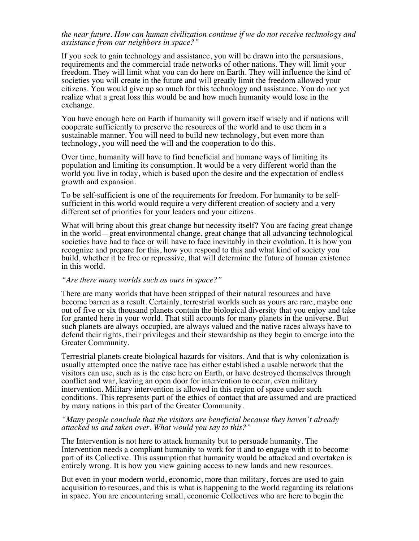#### *the near future. How can human civilization continue if we do not receive technology and assistance from our neighbors in space?"*

If you seek to gain technology and assistance, you will be drawn into the persuasions, requirements and the commercial trade networks of other nations. They will limit your freedom. They will limit what you can do here on Earth. They will influence the kind of societies you will create in the future and will greatly limit the freedom allowed your citizens. You would give up so much for this technology and assistance. You do not yet realize what a great loss this would be and how much humanity would lose in the exchange.

You have enough here on Earth if humanity will govern itself wisely and if nations will cooperate sufficiently to preserve the resources of the world and to use them in a sustainable manner. You will need to build new technology, but even more than technology, you will need the will and the cooperation to do this.

Over time, humanity will have to find beneficial and humane ways of limiting its population and limiting its consumption. It would be a very different world than the world you live in today, which is based upon the desire and the expectation of endless growth and expansion.

To be self-sufficient is one of the requirements for freedom. For humanity to be selfsufficient in this world would require a very different creation of society and a very different set of priorities for your leaders and your citizens.

What will bring about this great change but necessity itself? You are facing great change in the world—great environmental change, great change that all advancing technological societies have had to face or will have to face inevitably in their evolution. It is how you recognize and prepare for this, how you respond to this and what kind of society you build, whether it be free or repressive, that will determine the future of human existence in this world.

#### *"Are there many worlds such as ours in space?"*

There are many worlds that have been stripped of their natural resources and have become barren as a result. Certainly, terrestrial worlds such as yours are rare, maybe one out of five or six thousand planets contain the biological diversity that you enjoy and take for granted here in your world. That still accounts for many planets in the universe. But such planets are always occupied, are always valued and the native races always have to defend their rights, their privileges and their stewardship as they begin to emerge into the Greater Community.

Terrestrial planets create biological hazards for visitors. And that is why colonization is usually attempted once the native race has either established a usable network that the visitors can use, such as is the case here on Earth, or have destroyed themselves through conflict and war, leaving an open door for intervention to occur, even military intervention. Military intervention is allowed in this region of space under such conditions. This represents part of the ethics of contact that are assumed and are practiced by many nations in this part of the Greater Community.

#### *"Many people conclude that the visitors are beneficial because they haven't already attacked us and taken over. What would you say to this?"*

The Intervention is not here to attack humanity but to persuade humanity. The Intervention needs a compliant humanity to work for it and to engage with it to become part of its Collective. This assumption that humanity would be attacked and overtaken is entirely wrong. It is how you view gaining access to new lands and new resources.

But even in your modern world, economic, more than military, forces are used to gain acquisition to resources, and this is what is happening to the world regarding its relations in space. You are encountering small, economic Collectives who are here to begin the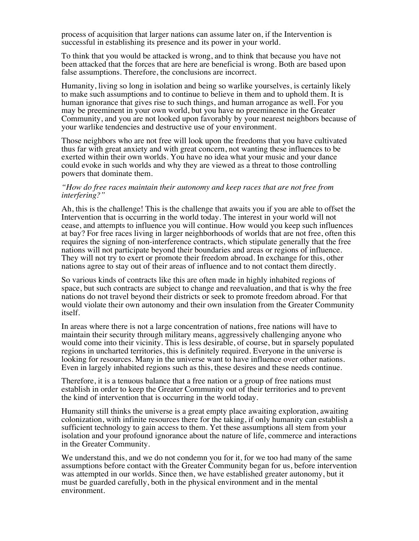process of acquisition that larger nations can assume later on, if the Intervention is successful in establishing its presence and its power in your world.

To think that you would be attacked is wrong, and to think that because you have not been attacked that the forces that are here are beneficial is wrong. Both are based upon false assumptions. Therefore, the conclusions are incorrect.

Humanity, living so long in isolation and being so warlike yourselves, is certainly likely to make such assumptions and to continue to believe in them and to uphold them. It is human ignorance that gives rise to such things, and human arrogance as well. For you may be preeminent in your own world, but you have no preeminence in the Greater Community, and you are not looked upon favorably by your nearest neighbors because of your warlike tendencies and destructive use of your environment.

Those neighbors who are not free will look upon the freedoms that you have cultivated thus far with great anxiety and with great concern, not wanting these influences to be exerted within their own worlds. You have no idea what your music and your dance could evoke in such worlds and why they are viewed as a threat to those controlling powers that dominate them.

#### *"How do free races maintain their autonomy and keep races that are not free from interfering?"*

Ah, this is the challenge! This is the challenge that awaits you if you are able to offset the Intervention that is occurring in the world today. The interest in your world will not cease, and attempts to influence you will continue. How would you keep such influences at bay? For free races living in larger neighborhoods of worlds that are not free, often this requires the signing of non-interference contracts, which stipulate generally that the free nations will not participate beyond their boundaries and areas or regions of influence. They will not try to exert or promote their freedom abroad. In exchange for this, other nations agree to stay out of their areas of influence and to not contact them directly.

So various kinds of contracts like this are often made in highly inhabited regions of space, but such contracts are subject to change and reevaluation, and that is why the free nations do not travel beyond their districts or seek to promote freedom abroad. For that would violate their own autonomy and their own insulation from the Greater Community itself.

In areas where there is not a large concentration of nations, free nations will have to maintain their security through military means, aggressively challenging anyone who would come into their vicinity. This is less desirable, of course, but in sparsely populated regions in uncharted territories, this is definitely required. Everyone in the universe is looking for resources. Many in the universe want to have influence over other nations. Even in largely inhabited regions such as this, these desires and these needs continue.

Therefore, it is a tenuous balance that a free nation or a group of free nations must establish in order to keep the Greater Community out of their territories and to prevent the kind of intervention that is occurring in the world today.

Humanity still thinks the universe is a great empty place awaiting exploration, awaiting colonization, with infinite resources there for the taking, if only humanity can establish a sufficient technology to gain access to them. Yet these assumptions all stem from your isolation and your profound ignorance about the nature of life, commerce and interactions in the Greater Community.

We understand this, and we do not condemn you for it, for we too had many of the same assumptions before contact with the Greater Community began for us, before intervention was attempted in our worlds. Since then, we have established greater autonomy, but it must be guarded carefully, both in the physical environment and in the mental environment.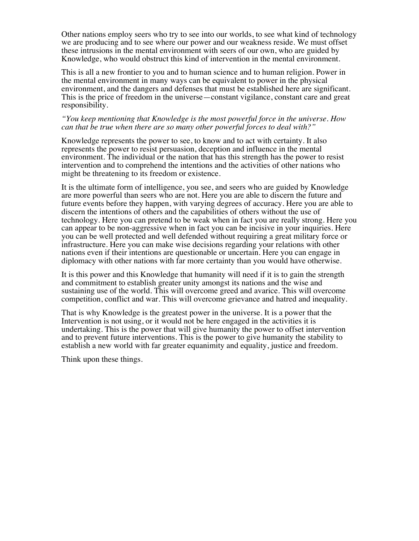Other nations employ seers who try to see into our worlds, to see what kind of technology we are producing and to see where our power and our weakness reside. We must offset these intrusions in the mental environment with seers of our own, who are guided by Knowledge, who would obstruct this kind of intervention in the mental environment.

This is all a new frontier to you and to human science and to human religion. Power in the mental environment in many ways can be equivalent to power in the physical environment, and the dangers and defenses that must be established here are significant. This is the price of freedom in the universe—constant vigilance, constant care and great responsibility.

#### *"You keep mentioning that Knowledge is the most powerful force in the universe. How can that be true when there are so many other powerful forces to deal with?"*

Knowledge represents the power to see, to know and to act with certainty. It also represents the power to resist persuasion, deception and influence in the mental environment. The individual or the nation that has this strength has the power to resist intervention and to comprehend the intentions and the activities of other nations who might be threatening to its freedom or existence.

It is the ultimate form of intelligence, you see, and seers who are guided by Knowledge are more powerful than seers who are not. Here you are able to discern the future and future events before they happen, with varying degrees of accuracy. Here you are able to discern the intentions of others and the capabilities of others without the use of technology. Here you can pretend to be weak when in fact you are really strong. Here you can appear to be non-aggressive when in fact you can be incisive in your inquiries. Here you can be well protected and well defended without requiring a great military force or infrastructure. Here you can make wise decisions regarding your relations with other nations even if their intentions are questionable or uncertain. Here you can engage in diplomacy with other nations with far more certainty than you would have otherwise.

It is this power and this Knowledge that humanity will need if it is to gain the strength and commitment to establish greater unity amongst its nations and the wise and sustaining use of the world. This will overcome greed and avarice. This will overcome competition, conflict and war. This will overcome grievance and hatred and inequality.

That is why Knowledge is the greatest power in the universe. It is a power that the Intervention is not using, or it would not be here engaged in the activities it is undertaking. This is the power that will give humanity the power to offset intervention and to prevent future interventions. This is the power to give humanity the stability to establish a new world with far greater equanimity and equality, justice and freedom.

Think upon these things.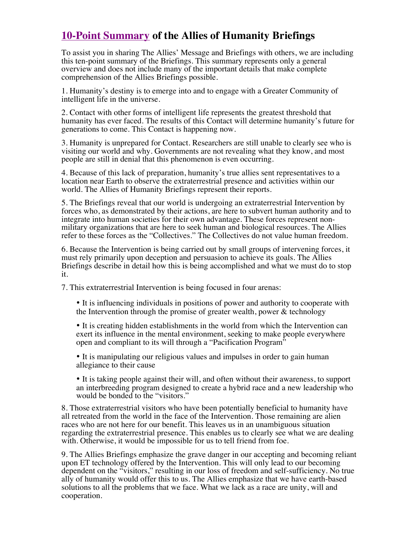## <span id="page-57-0"></span>**10-Point Summary [of the Allies of Humanity Briefings](#page-4-0)**

To assist you in sharing The Allies' Message and Briefings with others, we are including this ten-point summary of the Briefings. This summary represents only a general overview and does not include many of the important details that make complete comprehension of the Allies Briefings possible.

1. Humanity's destiny is to emerge into and to engage with a Greater Community of intelligent life in the universe.

2. Contact with other forms of intelligent life represents the greatest threshold that humanity has ever faced. The results of this Contact will determine humanity's future for generations to come. This Contact is happening now.

3. Humanity is unprepared for Contact. Researchers are still unable to clearly see who is visiting our world and why. Governments are not revealing what they know, and most people are still in denial that this phenomenon is even occurring.

4. Because of this lack of preparation, humanity's true allies sent representatives to a location near Earth to observe the extraterrestrial presence and activities within our world. The Allies of Humanity Briefings represent their reports.

5. The Briefings reveal that our world is undergoing an extraterrestrial Intervention by forces who, as demonstrated by their actions, are here to subvert human authority and to integrate into human societies for their own advantage. These forces represent nonmilitary organizations that are here to seek human and biological resources. The Allies refer to these forces as the "Collectives." The Collectives do not value human freedom.

6. Because the Intervention is being carried out by small groups of intervening forces, it must rely primarily upon deception and persuasion to achieve its goals. The Allies Briefings describe in detail how this is being accomplished and what we must do to stop it.

7. This extraterrestrial Intervention is being focused in four arenas:

• It is influencing individuals in positions of power and authority to cooperate with the Intervention through the promise of greater wealth, power  $\&$  technology

• It is creating hidden establishments in the world from which the Intervention can exert its influence in the mental environment, seeking to make people everywhere open and compliant to its will through a "Pacification Program"

• It is manipulating our religious values and impulses in order to gain human allegiance to their cause

• It is taking people against their will, and often without their awareness, to support an interbreeding program designed to create a hybrid race and a new leadership who would be bonded to the "visitors."

8. Those extraterrestrial visitors who have been potentially beneficial to humanity have all retreated from the world in the face of the Intervention. Those remaining are alien races who are not here for our benefit. This leaves us in an unambiguous situation regarding the extraterrestrial presence. This enables us to clearly see what we are dealing with. Otherwise, it would be impossible for us to tell friend from foe.

9. The Allies Briefings emphasize the grave danger in our accepting and becoming reliant upon ET technology offered by the Intervention. This will only lead to our becoming dependent on the "visitors," resulting in our loss of freedom and self-sufficiency. No true ally of humanity would offer this to us. The Allies emphasize that we have earth-based solutions to all the problems that we face. What we lack as a race are unity, will and cooperation.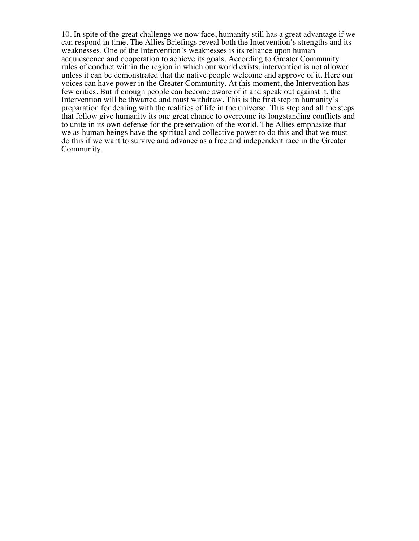10. In spite of the great challenge we now face, humanity still has a great advantage if we can respond in time. The Allies Briefings reveal both the Intervention's strengths and its weaknesses. One of the Intervention's weaknesses is its reliance upon human acquiescence and cooperation to achieve its goals. According to Greater Community rules of conduct within the region in which our world exists, intervention is not allowed unless it can be demonstrated that the native people welcome and approve of it. Here our voices can have power in the Greater Community. At this moment, the Intervention has few critics. But if enough people can become aware of it and speak out against it, the Intervention will be thwarted and must withdraw. This is the first step in humanity's preparation for dealing with the realities of life in the universe. This step and all the steps that follow give humanity its one great chance to overcome its longstanding conflicts and to unite in its own defense for the preservation of the world. The Allies emphasize that we as human beings have the spiritual and collective power to do this and that we must do this if we want to survive and advance as a free and independent race in the Greater Community.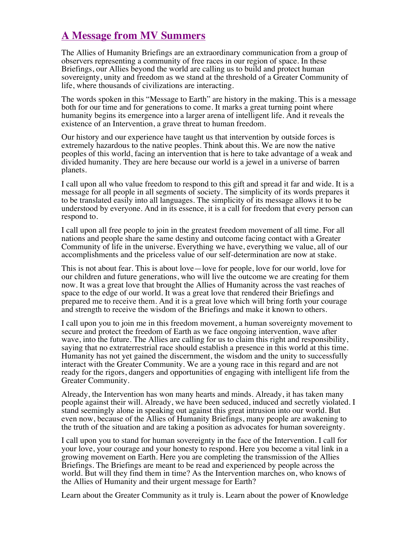## <span id="page-59-0"></span>**[A Message from MV Summers](#page-4-0)**

The Allies of Humanity Briefings are an extraordinary communication from a group of observers representing a community of free races in our region of space. In these Briefings, our Allies beyond the world are calling us to build and protect human sovereignty, unity and freedom as we stand at the threshold of a Greater Community of life, where thousands of civilizations are interacting.

The words spoken in this "Message to Earth" are history in the making. This is a message both for our time and for generations to come. It marks a great turning point where humanity begins its emergence into a larger arena of intelligent life. And it reveals the existence of an Intervention, a grave threat to human freedom.

Our history and our experience have taught us that intervention by outside forces is extremely hazardous to the native peoples. Think about this. We are now the native peoples of this world, facing an intervention that is here to take advantage of a weak and divided humanity. They are here because our world is a jewel in a universe of barren planets.

I call upon all who value freedom to respond to this gift and spread it far and wide. It is a message for all people in all segments of society. The simplicity of its words prepares it to be translated easily into all languages. The simplicity of its message allows it to be understood by everyone. And in its essence, it is a call for freedom that every person can respond to.

I call upon all free people to join in the greatest freedom movement of all time. For all nations and people share the same destiny and outcome facing contact with a Greater Community of life in the universe. Everything we have, everything we value, all of our accomplishments and the priceless value of our self-determination are now at stake.

This is not about fear. This is about love—love for people, love for our world, love for our children and future generations, who will live the outcome we are creating for them now. It was a great love that brought the Allies of Humanity across the vast reaches of space to the edge of our world. It was a great love that rendered their Briefings and prepared me to receive them. And it is a great love which will bring forth your courage and strength to receive the wisdom of the Briefings and make it known to others.

I call upon you to join me in this freedom movement, a human sovereignty movement to secure and protect the freedom of Earth as we face ongoing intervention, wave after wave, into the future. The Allies are calling for us to claim this right and responsibility, saying that no extraterrestrial race should establish a presence in this world at this time. Humanity has not yet gained the discernment, the wisdom and the unity to successfully interact with the Greater Community. We are a young race in this regard and are not ready for the rigors, dangers and opportunities of engaging with intelligent life from the Greater Community.

Already, the Intervention has won many hearts and minds. Already, it has taken many people against their will. Already, we have been seduced, induced and secretly violated. I stand seemingly alone in speaking out against this great intrusion into our world. But even now, because of the Allies of Humanity Briefings, many people are awakening to the truth of the situation and are taking a position as advocates for human sovereignty.

I call upon you to stand for human sovereignty in the face of the Intervention. I call for your love, your courage and your honesty to respond. Here you become a vital link in a growing movement on Earth. Here you are completing the transmission of the Allies Briefings. The Briefings are meant to be read and experienced by people across the world. But will they find them in time? As the Intervention marches on, who knows of the Allies of Humanity and their urgent message for Earth?

Learn about the Greater Community as it truly is. Learn about the power of Knowledge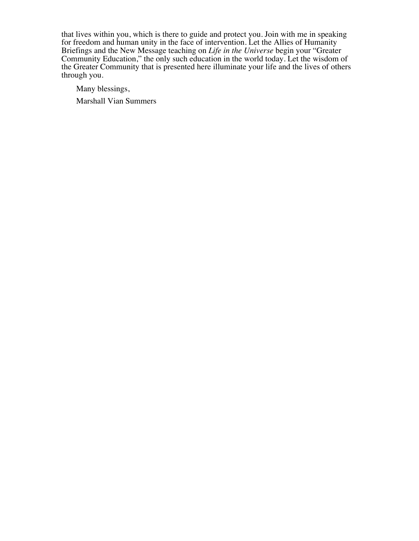that lives within you, which is there to guide and protect you. Join with me in speaking for freedom and human unity in the face of intervention. Let the Allies of Humanity Briefings and the New Message teaching on *Life in the Universe* begin your "Greater Community Education," the only such education in the world today. Let the wisdom of the Greater Community that is presented here illuminate your life and the lives of others through you.

Many blessings,

Marshall Vian Summers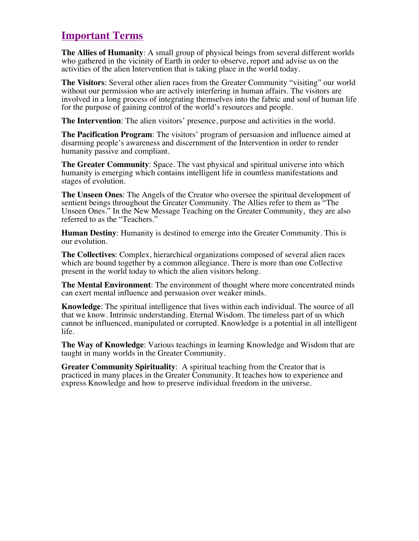## <span id="page-61-0"></span>**[Important Terms](#page-4-0)**

**The Allies of Humanity**: A small group of physical beings from several different worlds who gathered in the vicinity of Earth in order to observe, report and advise us on the activities of the alien Intervention that is taking place in the world today.

**The Visitors**: Several other alien races from the Greater Community "visiting" our world without our permission who are actively interfering in human affairs. The visitors are involved in a long process of integrating themselves into the fabric and soul of human life for the purpose of gaining control of the world's resources and people.

**The Intervention**: The alien visitors' presence, purpose and activities in the world.

**The Pacification Program**: The visitors' program of persuasion and influence aimed at disarming people's awareness and discernment of the Intervention in order to render humanity passive and compliant.

**The Greater Community**: Space. The vast physical and spiritual universe into which humanity is emerging which contains intelligent life in countless manifestations and stages of evolution.

**The Unseen Ones**: The Angels of the Creator who oversee the spiritual development of sentient beings throughout the Greater Community. The Allies refer to them as "The Unseen Ones." In the New Message Teaching on the Greater Community, they are also referred to as the "Teachers."

**Human Destiny**: Humanity is destined to emerge into the Greater Community. This is our evolution.

**The Collectives**: Complex, hierarchical organizations composed of several alien races which are bound together by a common allegiance. There is more than one Collective present in the world today to which the alien visitors belong.

**The Mental Environment**: The environment of thought where more concentrated minds can exert mental influence and persuasion over weaker minds.

**Knowledge**: The spiritual intelligence that lives within each individual. The source of all that we know. Intrinsic understanding. Eternal Wisdom. The timeless part of us which cannot be influenced, manipulated or corrupted. Knowledge is a potential in all intelligent life.

**The Way of Knowledge**: Various teachings in learning Knowledge and Wisdom that are taught in many worlds in the Greater Community.

**Greater Community Spirituality**: A spiritual teaching from the Creator that is practiced in many places in the Greater Community. It teaches how to experience and express Knowledge and how to preserve individual freedom in the universe.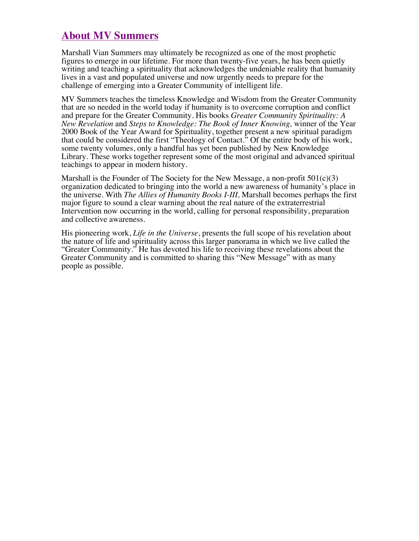## <span id="page-62-0"></span>**[About MV Summers](#page-4-0)**

Marshall Vian Summers may ultimately be recognized as one of the most prophetic figures to emerge in our lifetime. For more than twenty-five years, he has been quietly writing and teaching a spirituality that acknowledges the undeniable reality that humanity lives in a vast and populated universe and now urgently needs to prepare for the challenge of emerging into a Greater Community of intelligent life.

MV Summers teaches the timeless Knowledge and Wisdom from the Greater Community that are so needed in the world today if humanity is to overcome corruption and conflict and prepare for the Greater Community. His books *Greater Community Spirituality: A New Revelation* and *Steps to Knowledge: The Book of Inner Knowing,* winner of the Year 2000 Book of the Year Award for Spirituality, together present a new spiritual paradigm that could be considered the first "Theology of Contact." Of the entire body of his work, some twenty volumes, only a handful has yet been published by New Knowledge Library. These works together represent some of the most original and advanced spiritual teachings to appear in modern history.

Marshall is the Founder of The Society for the New Message, a non-profit  $501(c)(3)$ organization dedicated to bringing into the world a new awareness of humanity's place in the universe. With *The Allies of Humanity Books I-III,* Marshall becomes perhaps the first major figure to sound a clear warning about the real nature of the extraterrestrial Intervention now occurring in the world, calling for personal responsibility, preparation and collective awareness.

His pioneering work, *Life in the Universe*, presents the full scope of his revelation about the nature of life and spirituality across this larger panorama in which we live called the "Greater Community." He has devoted his life to receiving these revelations about the Greater Community and is committed to sharing this "New Message" with as many people as possible.